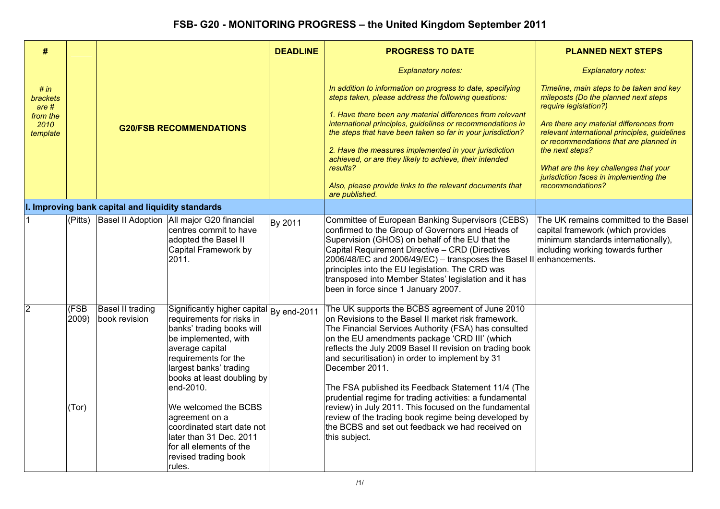| #                                                                           |                               |                                                   |                                                                                                                                                                                                                                                                                                                                                                                                            | <b>DEADLINE</b> | <b>PROGRESS TO DATE</b>                                                                                                                                                                                                                                                                                                                                                                                                                                                                                                                                                                                                                                 | <b>PLANNED NEXT STEPS</b>                                                                                                                                                                                                                                                                                                                                                                              |
|-----------------------------------------------------------------------------|-------------------------------|---------------------------------------------------|------------------------------------------------------------------------------------------------------------------------------------------------------------------------------------------------------------------------------------------------------------------------------------------------------------------------------------------------------------------------------------------------------------|-----------------|---------------------------------------------------------------------------------------------------------------------------------------------------------------------------------------------------------------------------------------------------------------------------------------------------------------------------------------------------------------------------------------------------------------------------------------------------------------------------------------------------------------------------------------------------------------------------------------------------------------------------------------------------------|--------------------------------------------------------------------------------------------------------------------------------------------------------------------------------------------------------------------------------------------------------------------------------------------------------------------------------------------------------------------------------------------------------|
| # in<br><b>brackets</b><br>are <sub>#</sub><br>from the<br>2010<br>template |                               | <b>G20/FSB RECOMMENDATIONS</b>                    |                                                                                                                                                                                                                                                                                                                                                                                                            |                 | <b>Explanatory notes:</b><br>In addition to information on progress to date, specifying<br>steps taken, please address the following questions:<br>1. Have there been any material differences from relevant<br>international principles, guidelines or recommendations in<br>the steps that have been taken so far in your jurisdiction?<br>2. Have the measures implemented in your jurisdiction<br>achieved, or are they likely to achieve, their intended<br>results?<br>Also, please provide links to the relevant documents that<br>are published.                                                                                                | <b>Explanatory notes:</b><br>Timeline, main steps to be taken and key<br>mileposts (Do the planned next steps<br>require legislation?)<br>Are there any material differences from<br>relevant international principles, guidelines<br>or recommendations that are planned in<br>the next steps?<br>What are the key challenges that your<br>jurisdiction faces in implementing the<br>recommendations? |
|                                                                             |                               | I. Improving bank capital and liquidity standards |                                                                                                                                                                                                                                                                                                                                                                                                            |                 |                                                                                                                                                                                                                                                                                                                                                                                                                                                                                                                                                                                                                                                         |                                                                                                                                                                                                                                                                                                                                                                                                        |
| 1.                                                                          | (Pitts)                       |                                                   | Basel II Adoption All major G20 financial<br>centres commit to have<br>adopted the Basel II<br>Capital Framework by<br>2011.                                                                                                                                                                                                                                                                               | By 2011         | Committee of European Banking Supervisors (CEBS)<br>confirmed to the Group of Governors and Heads of<br>Supervision (GHOS) on behalf of the EU that the<br>Capital Requirement Directive - CRD (Directives<br>$[2006/48/EC]$ and $2006/49/EC$ ) – transposes the Basel II enhancements.<br>principles into the EU legislation. The CRD was<br>transposed into Member States' legislation and it has<br>been in force since 1 January 2007.                                                                                                                                                                                                              | The UK remains committed to the Basel<br>capital framework (which provides<br>minimum standards internationally),<br>including working towards further                                                                                                                                                                                                                                                 |
|                                                                             | <b>CESB</b><br>2009)<br>(Tor) | Basel II trading<br>book revision                 | Significantly higher capital By end-2011<br>requirements for risks in<br>banks' trading books will<br>be implemented, with<br>average capital<br>requirements for the<br>largest banks' trading<br>books at least doubling by<br>end-2010.<br>We welcomed the BCBS<br>agreement on a<br>coordinated start date not<br>later than 31 Dec. 2011<br>for all elements of the<br>revised trading book<br>rules. |                 | The UK supports the BCBS agreement of June 2010<br>on Revisions to the Basel II market risk framework.<br>The Financial Services Authority (FSA) has consulted<br>on the EU amendments package 'CRD III' (which<br>reflects the July 2009 Basel II revision on trading book<br>and securitisation) in order to implement by 31<br>December 2011.<br>The FSA published its Feedback Statement 11/4 (The<br>prudential regime for trading activities: a fundamental<br>review) in July 2011. This focused on the fundamental<br>review of the trading book regime being developed by<br>the BCBS and set out feedback we had received on<br>this subject. |                                                                                                                                                                                                                                                                                                                                                                                                        |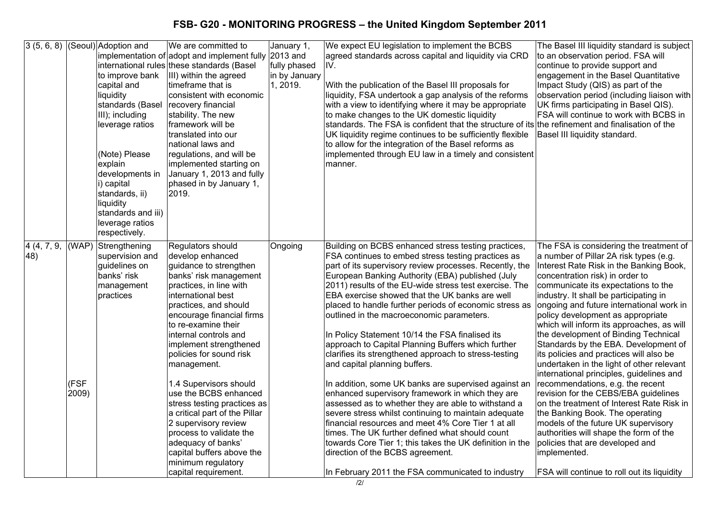|                             |                        | $\overline{3(5,6,8)}$ (Seoul) Adoption and<br>to improve bank<br>capital and<br>liquidity<br>standards (Basel<br>III); including<br>leverage ratios<br>(Note) Please<br>explain<br>developments in<br>i) capital<br>standards, ii)<br>liquidity<br>standards and iii)<br>leverage ratios<br>respectively. | IWe are committed to<br>implementation of adopt and implement fully 2013 and<br>international rules these standards (Basel<br>III) within the agreed<br>ltimeframe that is<br>consistent with economic<br>recovery financial<br>stability. The new<br>framework will be<br>translated into our<br>national laws and<br>regulations, and will be<br>implemented starting on<br>January 1, 2013 and fully<br>phased in by January 1,<br>2019.                                                                                                                                                  | January 1,<br>fully phased<br>in by January<br>1, 2019. | We expect EU legislation to implement the BCBS<br>agreed standards across capital and liquidity via CRD<br>IV.<br>With the publication of the Basel III proposals for<br>liquidity, FSA undertook a gap analysis of the reforms<br>with a view to identifying where it may be appropriate<br>to make changes to the UK domestic liquidity<br>standards. The FSA is confident that the structure of its the refinement and finalisation of the<br>UK liquidity regime continues to be sufficiently flexible<br>to allow for the integration of the Basel reforms as<br>implemented through EU law in a timely and consistent<br>manner.                                                                                                                                                                                                                                                                                                                                                                                                                                                                                                  | The Basel III liquidity standard is subject<br>to an observation period. FSA will<br>continue to provide support and<br>engagement in the Basel Quantitative<br>Impact Study (QIS) as part of the<br>observation period (including liaison with<br>UK firms participating in Basel QIS).<br>FSA will continue to work with BCBS in<br>Basel III liquidity standard.                                                                                                                                                                                                                                                                                                                                                                                                                                                                                                                                                                                      |
|-----------------------------|------------------------|-----------------------------------------------------------------------------------------------------------------------------------------------------------------------------------------------------------------------------------------------------------------------------------------------------------|----------------------------------------------------------------------------------------------------------------------------------------------------------------------------------------------------------------------------------------------------------------------------------------------------------------------------------------------------------------------------------------------------------------------------------------------------------------------------------------------------------------------------------------------------------------------------------------------|---------------------------------------------------------|-----------------------------------------------------------------------------------------------------------------------------------------------------------------------------------------------------------------------------------------------------------------------------------------------------------------------------------------------------------------------------------------------------------------------------------------------------------------------------------------------------------------------------------------------------------------------------------------------------------------------------------------------------------------------------------------------------------------------------------------------------------------------------------------------------------------------------------------------------------------------------------------------------------------------------------------------------------------------------------------------------------------------------------------------------------------------------------------------------------------------------------------|----------------------------------------------------------------------------------------------------------------------------------------------------------------------------------------------------------------------------------------------------------------------------------------------------------------------------------------------------------------------------------------------------------------------------------------------------------------------------------------------------------------------------------------------------------------------------------------------------------------------------------------------------------------------------------------------------------------------------------------------------------------------------------------------------------------------------------------------------------------------------------------------------------------------------------------------------------|
| 4 (4, 7, 9,<br>$ 48\rangle$ | (WAP)<br>(FSF<br>2009) | Strengthening<br>supervision and<br>guidelines on<br>banks' risk<br>management<br>practices                                                                                                                                                                                                               | Regulators should<br>develop enhanced<br>guidance to strengthen<br>banks' risk management<br>practices, in line with<br>international best<br>practices, and should<br>encourage financial firms<br>to re-examine their<br>linternal controls and<br>implement strengthened<br>policies for sound risk<br>management.<br>1.4 Supervisors should<br>use the BCBS enhanced<br>stress testing practices as<br>a critical part of the Pillar<br>2 supervisory review<br>process to validate the<br>adequacy of banks'<br>capital buffers above the<br>minimum regulatory<br>capital requirement. | Ongoing                                                 | Building on BCBS enhanced stress testing practices,<br>FSA continues to embed stress testing practices as<br>part of its supervisory review processes. Recently, the<br>European Banking Authority (EBA) published (July<br>2011) results of the EU-wide stress test exercise. The<br>EBA exercise showed that the UK banks are well<br>placed to handle further periods of economic stress as<br>outlined in the macroeconomic parameters.<br>In Policy Statement 10/14 the FSA finalised its<br>approach to Capital Planning Buffers which further<br>clarifies its strengthened approach to stress-testing<br>and capital planning buffers.<br>In addition, some UK banks are supervised against an<br>enhanced supervisory framework in which they are<br>assessed as to whether they are able to withstand a<br>severe stress whilst continuing to maintain adequate<br>financial resources and meet 4% Core Tier 1 at all<br>times. The UK further defined what should count<br>towards Core Tier 1; this takes the UK definition in the<br>direction of the BCBS agreement.<br>In February 2011 the FSA communicated to industry | The FSA is considering the treatment of<br>a number of Pillar 2A risk types (e.g.<br>Interest Rate Risk in the Banking Book,<br>concentration risk) in order to<br>communicate its expectations to the<br>industry. It shall be participating in<br>ongoing and future international work in<br>policy development as appropriate<br>which will inform its approaches, as will<br>the development of Binding Technical<br>Standards by the EBA. Development of<br>its policies and practices will also be<br>undertaken in the light of other relevant<br>international principles, guidelines and<br>recommendations, e.g. the recent<br>revision for the CEBS/EBA guidelines<br>on the treatment of Interest Rate Risk in<br>the Banking Book. The operating<br>models of the future UK supervisory<br>authorities will shape the form of the<br>policies that are developed and<br>implemented.<br><b>FSA will continue to roll out its liquidity</b> |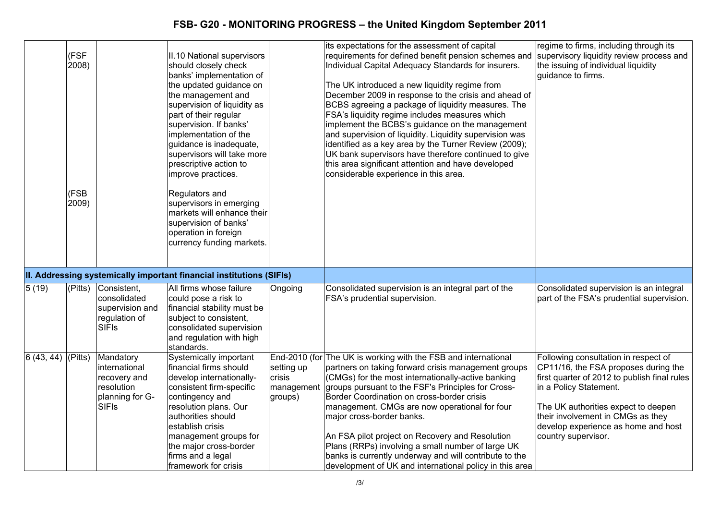|                     | (FSF<br>2008)<br>(FSB<br>2009) |                                                                                             | II.10 National supervisors<br>should closely check<br>banks' implementation of<br>the updated guidance on<br>the management and<br>supervision of liquidity as<br>part of their regular<br>supervision. If banks'<br>implementation of the<br>guidance is inadequate,<br>supervisors will take more<br>prescriptive action to<br>improve practices.<br>Regulators and<br>supervisors in emerging<br>markets will enhance their<br>supervision of banks'<br>operation in foreign<br>currency funding markets. |                                               | its expectations for the assessment of capital<br>requirements for defined benefit pension schemes and<br>Individual Capital Adequacy Standards for insurers.<br>The UK introduced a new liquidity regime from<br>December 2009 in response to the crisis and ahead of<br>BCBS agreeing a package of liquidity measures. The<br>FSA's liquidity regime includes measures which<br>implement the BCBS's guidance on the management<br>and supervision of liquidity. Liquidity supervision was<br>identified as a key area by the Turner Review (2009);<br>UK bank supervisors have therefore continued to give<br>this area significant attention and have developed<br>considerable experience in this area. | regime to firms, including through its<br>supervisory liquidity review process and<br>the issuing of individual liquidity<br>guidance to firms.                                                                                                                                                  |
|---------------------|--------------------------------|---------------------------------------------------------------------------------------------|--------------------------------------------------------------------------------------------------------------------------------------------------------------------------------------------------------------------------------------------------------------------------------------------------------------------------------------------------------------------------------------------------------------------------------------------------------------------------------------------------------------|-----------------------------------------------|--------------------------------------------------------------------------------------------------------------------------------------------------------------------------------------------------------------------------------------------------------------------------------------------------------------------------------------------------------------------------------------------------------------------------------------------------------------------------------------------------------------------------------------------------------------------------------------------------------------------------------------------------------------------------------------------------------------|--------------------------------------------------------------------------------------------------------------------------------------------------------------------------------------------------------------------------------------------------------------------------------------------------|
|                     |                                |                                                                                             | II. Addressing systemically important financial institutions (SIFIs)                                                                                                                                                                                                                                                                                                                                                                                                                                         |                                               |                                                                                                                                                                                                                                                                                                                                                                                                                                                                                                                                                                                                                                                                                                              |                                                                                                                                                                                                                                                                                                  |
| 5(19)               | (Pitts)                        | Consistent,<br>consolidated<br>supervision and<br>regulation of<br><b>SIFIS</b>             | All firms whose failure<br>could pose a risk to<br>financial stability must be<br>subject to consistent,<br>consolidated supervision<br>and regulation with high<br>standards.                                                                                                                                                                                                                                                                                                                               | Ongoing                                       | Consolidated supervision is an integral part of the<br>FSA's prudential supervision.                                                                                                                                                                                                                                                                                                                                                                                                                                                                                                                                                                                                                         | Consolidated supervision is an integral<br>part of the FSA's prudential supervision.                                                                                                                                                                                                             |
| $6(43, 44)$ (Pitts) |                                | Mandatory<br>international<br>recovery and<br>resolution<br>planning for G-<br><b>SIFIS</b> | Systemically important<br>financial firms should<br>develop internationally-<br>consistent firm-specific<br>contingency and<br>resolution plans. Our<br>authorities should<br>establish crisis<br>management groups for<br>the major cross-border<br>firms and a legal<br>framework for crisis                                                                                                                                                                                                               | setting up<br>crisis<br>management<br>groups) | End-2010 (for The UK is working with the FSB and international<br>partners on taking forward crisis management groups<br>(CMGs) for the most internationally-active banking<br>groups pursuant to the FSF's Principles for Cross-<br>Border Coordination on cross-border crisis<br>management. CMGs are now operational for four<br>major cross-border banks.<br>An FSA pilot project on Recovery and Resolution<br>Plans (RRPs) involving a small number of large UK<br>banks is currently underway and will contribute to the<br>development of UK and international policy in this area                                                                                                                   | Following consultation in respect of<br>CP11/16, the FSA proposes during the<br>first quarter of 2012 to publish final rules<br>in a Policy Statement.<br>The UK authorities expect to deepen<br>their involvement in CMGs as they<br>develop experience as home and host<br>country supervisor. |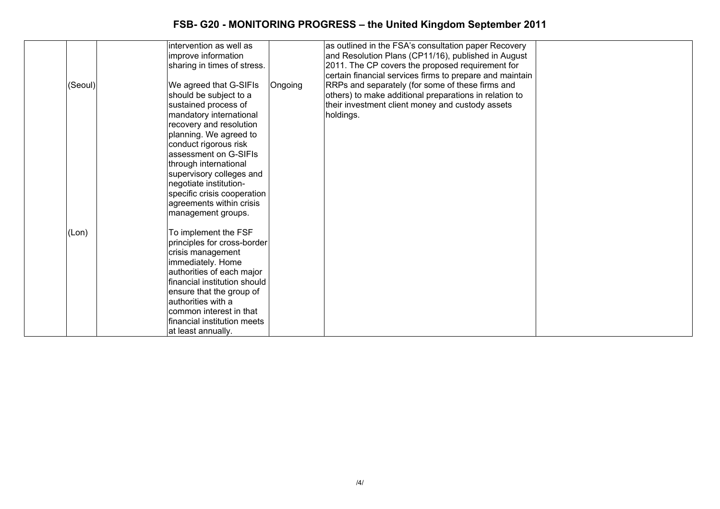| (Seoul) | intervention as well as<br>improve information<br>sharing in times of stress.<br>We agreed that G-SIFIs<br>should be subject to a<br>sustained process of<br>mandatory international<br>recovery and resolution<br>planning. We agreed to<br>conduct rigorous risk<br>assessment on G-SIFIs<br>through international<br>supervisory colleges and<br>negotiate institution-<br>specific crisis cooperation<br>agreements within crisis<br>management groups. | Ongoing | as outlined in the FSA's consultation paper Recovery<br>and Resolution Plans (CP11/16), published in August<br>2011. The CP covers the proposed requirement for<br>certain financial services firms to prepare and maintain<br>RRPs and separately (for some of these firms and<br>others) to make additional preparations in relation to<br>their investment client money and custody assets<br>holdings. |  |
|---------|-------------------------------------------------------------------------------------------------------------------------------------------------------------------------------------------------------------------------------------------------------------------------------------------------------------------------------------------------------------------------------------------------------------------------------------------------------------|---------|------------------------------------------------------------------------------------------------------------------------------------------------------------------------------------------------------------------------------------------------------------------------------------------------------------------------------------------------------------------------------------------------------------|--|
| (Lon)   | To implement the FSF<br>principles for cross-border<br>crisis management<br>immediately. Home<br>authorities of each major<br>financial institution should<br>ensure that the group of<br>authorities with a<br>common interest in that<br>financial institution meets<br>at least annually.                                                                                                                                                                |         |                                                                                                                                                                                                                                                                                                                                                                                                            |  |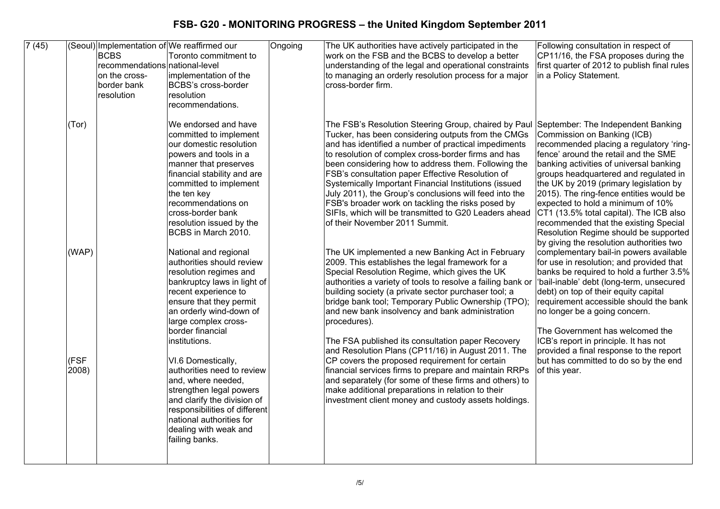| 7(45) |               | <b>BCBS</b><br>recommendations national-level<br>on the cross-<br>border bank<br>resolution | (Seoul) Implementation of We reaffirmed our<br>Toronto commitment to<br>implementation of the<br>BCBS's cross-border<br>resolution<br>recommendations.                                                                                                                                            | Ongoing | The UK authorities have actively participated in the<br>work on the FSB and the BCBS to develop a better<br>understanding of the legal and operational constraints<br>to managing an orderly resolution process for a major<br>cross-border firm.                                                                                                                                                                                                                                                                                                                                                       | Following consultation in respect of<br>CP11/16, the FSA proposes during the<br>first quarter of 2012 to publish final rules<br>in a Policy Statement.                                                                                                                                                                                                                                                                                                                                                                                      |
|-------|---------------|---------------------------------------------------------------------------------------------|---------------------------------------------------------------------------------------------------------------------------------------------------------------------------------------------------------------------------------------------------------------------------------------------------|---------|---------------------------------------------------------------------------------------------------------------------------------------------------------------------------------------------------------------------------------------------------------------------------------------------------------------------------------------------------------------------------------------------------------------------------------------------------------------------------------------------------------------------------------------------------------------------------------------------------------|---------------------------------------------------------------------------------------------------------------------------------------------------------------------------------------------------------------------------------------------------------------------------------------------------------------------------------------------------------------------------------------------------------------------------------------------------------------------------------------------------------------------------------------------|
|       | (Tor)         |                                                                                             | We endorsed and have<br>committed to implement<br>our domestic resolution<br>powers and tools in a<br>manner that preserves<br>financial stability and are<br>committed to implement<br>the ten key<br>recommendations on<br>cross-border bank<br>resolution issued by the<br>BCBS in March 2010. |         | The FSB's Resolution Steering Group, chaired by Paul<br>Tucker, has been considering outputs from the CMGs<br>and has identified a number of practical impediments<br>to resolution of complex cross-border firms and has<br>been considering how to address them. Following the<br>FSB's consultation paper Effective Resolution of<br>Systemically Important Financial Institutions (issued<br>July 2011), the Group's conclusions will feed into the<br>FSB's broader work on tackling the risks posed by<br>SIFIs, which will be transmitted to G20 Leaders ahead<br>of their November 2011 Summit. | September: The Independent Banking<br>Commission on Banking (ICB)<br>recommended placing a regulatory 'ring-<br>fence' around the retail and the SME<br>banking activities of universal banking<br>groups headquartered and regulated in<br>the UK by 2019 (primary legislation by<br>2015). The ring-fence entities would be<br>expected to hold a minimum of 10%<br>CT1 (13.5% total capital). The ICB also<br>recommended that the existing Special<br>Resolution Regime should be supported<br>by giving the resolution authorities two |
|       | (WAP)         |                                                                                             | National and regional<br>authorities should review<br>resolution regimes and<br>bankruptcy laws in light of<br>recent experience to<br>ensure that they permit<br>an orderly wind-down of<br>large complex cross-<br>border financial<br>institutions.                                            |         | The UK implemented a new Banking Act in February<br>2009. This establishes the legal framework for a<br>Special Resolution Regime, which gives the UK<br>authorities a variety of tools to resolve a failing bank or<br>building society (a private sector purchaser tool; a<br>bridge bank tool; Temporary Public Ownership (TPO);<br>and new bank insolvency and bank administration<br>procedures).<br>The FSA published its consultation paper Recovery<br>and Resolution Plans (CP11/16) in August 2011. The                                                                                       | complementary bail-in powers available<br>for use in resolution; and provided that<br>banks be required to hold a further 3.5%<br>'bail-inable' debt (long-term, unsecured<br>debt) on top of their equity capital<br>requirement accessible should the bank<br>no longer be a going concern.<br>The Government has welcomed the<br>ICB's report in principle. It has not<br>provided a final response to the report                                                                                                                        |
|       | (FSF<br>2008) |                                                                                             | VI.6 Domestically,<br>authorities need to review<br>and, where needed,<br>strengthen legal powers<br>and clarify the division of<br>responsibilities of different<br>national authorities for<br>dealing with weak and<br>failing banks.                                                          |         | CP covers the proposed requirement for certain<br>financial services firms to prepare and maintain RRPs<br>and separately (for some of these firms and others) to<br>make additional preparations in relation to their<br>investment client money and custody assets holdings.                                                                                                                                                                                                                                                                                                                          | but has committed to do so by the end<br>of this year.                                                                                                                                                                                                                                                                                                                                                                                                                                                                                      |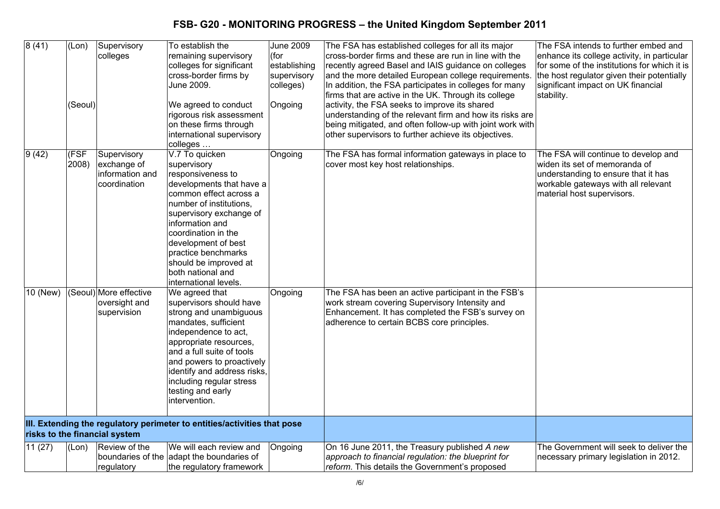| 8(41)           | (Lon)                     | Supervisory                   | To establish the                                                         | <b>June 2009</b> | The FSA has established colleges for all its major        | The FSA intends to further embed and         |
|-----------------|---------------------------|-------------------------------|--------------------------------------------------------------------------|------------------|-----------------------------------------------------------|----------------------------------------------|
|                 |                           | colleges                      | remaining supervisory                                                    | (for             | cross-border firms and these are run in line with the     | enhance its college activity, in particular  |
|                 |                           |                               | colleges for significant                                                 | establishing     | recently agreed Basel and IAIS guidance on colleges       | for some of the institutions for which it is |
|                 |                           |                               | cross-border firms by                                                    | supervisory      | and the more detailed European college requirements.      | the host regulator given their potentially   |
|                 |                           |                               | June 2009.                                                               | colleges)        | In addition, the FSA participates in colleges for many    | significant impact on UK financial           |
|                 |                           |                               |                                                                          |                  | firms that are active in the UK. Through its college      | stability.                                   |
|                 | (Seoul)                   |                               | We agreed to conduct                                                     | Ongoing          | activity, the FSA seeks to improve its shared             |                                              |
|                 |                           |                               | rigorous risk assessment                                                 |                  | understanding of the relevant firm and how its risks are  |                                              |
|                 |                           |                               | on these firms through                                                   |                  | being mitigated, and often follow-up with joint work with |                                              |
|                 |                           |                               | international supervisory                                                |                  | other supervisors to further achieve its objectives.      |                                              |
|                 |                           |                               | colleges                                                                 |                  |                                                           |                                              |
| $\sqrt{9}$ (42) | $\overline{\mathsf{FSF}}$ | Supervisory                   | V.7 To quicken                                                           | Ongoing          | The FSA has formal information gateways in place to       | The FSA will continue to develop and         |
|                 | 2008)                     | exchange of                   | supervisory                                                              |                  | cover most key host relationships.                        | widen its set of memoranda of                |
|                 |                           | information and               | responsiveness to                                                        |                  |                                                           | understanding to ensure that it has          |
|                 |                           | coordination                  | developments that have a                                                 |                  |                                                           | workable gateways with all relevant          |
|                 |                           |                               | common effect across a                                                   |                  |                                                           | material host supervisors.                   |
|                 |                           |                               | number of institutions.                                                  |                  |                                                           |                                              |
|                 |                           |                               | supervisory exchange of                                                  |                  |                                                           |                                              |
|                 |                           |                               | information and                                                          |                  |                                                           |                                              |
|                 |                           |                               | coordination in the                                                      |                  |                                                           |                                              |
|                 |                           |                               | development of best                                                      |                  |                                                           |                                              |
|                 |                           |                               | practice benchmarks                                                      |                  |                                                           |                                              |
|                 |                           |                               | should be improved at                                                    |                  |                                                           |                                              |
|                 |                           |                               | both national and                                                        |                  |                                                           |                                              |
|                 |                           |                               | international levels.                                                    |                  |                                                           |                                              |
| 10 (New)        |                           | Seoul) More effective         | We agreed that                                                           | Ongoing          | The FSA has been an active participant in the FSB's       |                                              |
|                 |                           | oversight and                 | supervisors should have                                                  |                  | work stream covering Supervisory Intensity and            |                                              |
|                 |                           | supervision                   | strong and unambiguous                                                   |                  | Enhancement. It has completed the FSB's survey on         |                                              |
|                 |                           |                               | mandates, sufficient                                                     |                  | adherence to certain BCBS core principles.                |                                              |
|                 |                           |                               | independence to act,                                                     |                  |                                                           |                                              |
|                 |                           |                               | appropriate resources,                                                   |                  |                                                           |                                              |
|                 |                           |                               | and a full suite of tools                                                |                  |                                                           |                                              |
|                 |                           |                               | and powers to proactively                                                |                  |                                                           |                                              |
|                 |                           |                               | identify and address risks,                                              |                  |                                                           |                                              |
|                 |                           |                               | including regular stress                                                 |                  |                                                           |                                              |
|                 |                           |                               | testing and early                                                        |                  |                                                           |                                              |
|                 |                           |                               | intervention.                                                            |                  |                                                           |                                              |
|                 |                           |                               |                                                                          |                  |                                                           |                                              |
|                 |                           | risks to the financial system | III. Extending the regulatory perimeter to entities/activities that pose |                  |                                                           |                                              |
| 11(27)          | (Lon)                     | Review of the                 | We will each review and                                                  | Ongoing          | On 16 June 2011, the Treasury published A new             | The Government will seek to deliver the      |
|                 |                           |                               | boundaries of the adapt the boundaries of                                |                  | approach to financial regulation: the blueprint for       | necessary primary legislation in 2012.       |
|                 |                           | regulatory                    | the regulatory framework                                                 |                  | reform. This details the Government's proposed            |                                              |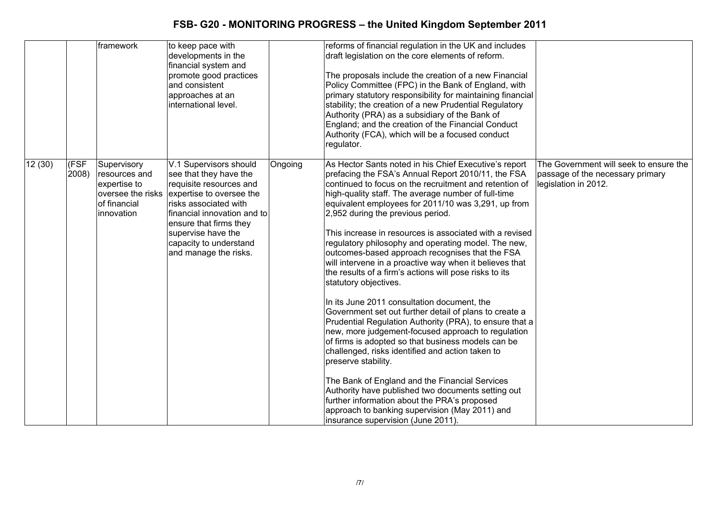|        |                        | framework                                                                                       | to keep pace with<br>developments in the<br>financial system and<br>promote good practices<br>and consistent<br>approaches at an<br>international level.                                                                                                           |         | reforms of financial regulation in the UK and includes<br>draft legislation on the core elements of reform.<br>The proposals include the creation of a new Financial<br>Policy Committee (FPC) in the Bank of England, with<br>primary statutory responsibility for maintaining financial<br>stability; the creation of a new Prudential Regulatory<br>Authority (PRA) as a subsidiary of the Bank of<br>England; and the creation of the Financial Conduct<br>Authority (FCA), which will be a focused conduct<br>regulator.                                                                                                                                                                                                                                                                                                                                                                                                                                                                                                                                                                                                                                                                                                                          |                                                                                                    |
|--------|------------------------|-------------------------------------------------------------------------------------------------|--------------------------------------------------------------------------------------------------------------------------------------------------------------------------------------------------------------------------------------------------------------------|---------|--------------------------------------------------------------------------------------------------------------------------------------------------------------------------------------------------------------------------------------------------------------------------------------------------------------------------------------------------------------------------------------------------------------------------------------------------------------------------------------------------------------------------------------------------------------------------------------------------------------------------------------------------------------------------------------------------------------------------------------------------------------------------------------------------------------------------------------------------------------------------------------------------------------------------------------------------------------------------------------------------------------------------------------------------------------------------------------------------------------------------------------------------------------------------------------------------------------------------------------------------------|----------------------------------------------------------------------------------------------------|
| 12(30) | (FSF<br>$ 2008\rangle$ | Supervisory<br>resources and<br>expertise to<br>oversee the risks<br>of financial<br>innovation | V.1 Supervisors should<br>see that they have the<br>requisite resources and<br>expertise to oversee the<br>risks associated with<br>financial innovation and to<br>ensure that firms they<br>supervise have the<br>capacity to understand<br>and manage the risks. | Ongoing | As Hector Sants noted in his Chief Executive's report<br>prefacing the FSA's Annual Report 2010/11, the FSA<br>continued to focus on the recruitment and retention of<br>high-quality staff. The average number of full-time<br>equivalent employees for 2011/10 was 3,291, up from<br>2,952 during the previous period.<br>This increase in resources is associated with a revised<br>regulatory philosophy and operating model. The new,<br>outcomes-based approach recognises that the FSA<br>will intervene in a proactive way when it believes that<br>the results of a firm's actions will pose risks to its<br>statutory objectives.<br>In its June 2011 consultation document, the<br>Government set out further detail of plans to create a<br>Prudential Regulation Authority (PRA), to ensure that a<br>new, more judgement-focused approach to regulation<br>of firms is adopted so that business models can be<br>challenged, risks identified and action taken to<br>preserve stability.<br>The Bank of England and the Financial Services<br>Authority have published two documents setting out<br>further information about the PRA's proposed<br>approach to banking supervision (May 2011) and<br>insurance supervision (June 2011). | The Government will seek to ensure the<br>passage of the necessary primary<br>legislation in 2012. |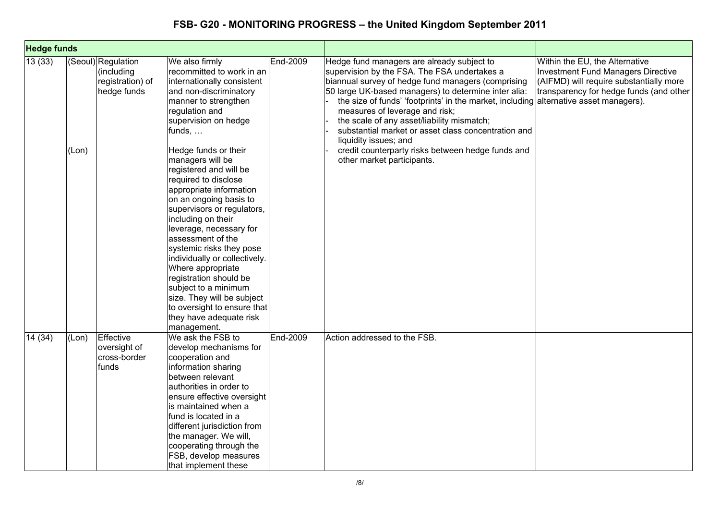| <b>Hedge funds</b> |       |                                                                     |                                                                                                                                                                                                                                                                                                                                                                                                                                                                                                |          |                                                                                                                                                                                                                                                                                                                                                                                                                                                                   |                                                                                                                                                            |
|--------------------|-------|---------------------------------------------------------------------|------------------------------------------------------------------------------------------------------------------------------------------------------------------------------------------------------------------------------------------------------------------------------------------------------------------------------------------------------------------------------------------------------------------------------------------------------------------------------------------------|----------|-------------------------------------------------------------------------------------------------------------------------------------------------------------------------------------------------------------------------------------------------------------------------------------------------------------------------------------------------------------------------------------------------------------------------------------------------------------------|------------------------------------------------------------------------------------------------------------------------------------------------------------|
| 13(33)             |       | (Seoul) Regulation<br>(including<br>registration) of<br>hedge funds | We also firmly<br>recommitted to work in an<br>internationally consistent<br>and non-discriminatory<br>manner to strengthen<br>regulation and<br>supervision on hedge<br>funds,                                                                                                                                                                                                                                                                                                                | End-2009 | Hedge fund managers are already subject to<br>supervision by the FSA. The FSA undertakes a<br>biannual survey of hedge fund managers (comprising<br>50 large UK-based managers) to determine inter alia:<br>the size of funds' 'footprints' in the market, including alternative asset managers).<br>measures of leverage and risk;<br>the scale of any asset/liability mismatch;<br>substantial market or asset class concentration and<br>liquidity issues; and | Within the EU, the Alternative<br>Investment Fund Managers Directive<br>(AIFMD) will require substantially more<br>transparency for hedge funds (and other |
|                    | (Lon) |                                                                     | Hedge funds or their<br>managers will be<br>registered and will be<br>required to disclose<br>appropriate information<br>on an ongoing basis to<br>supervisors or regulators,<br>including on their<br>leverage, necessary for<br>assessment of the<br>systemic risks they pose<br>individually or collectively.<br>Where appropriate<br>registration should be<br>subject to a minimum<br>size. They will be subject<br>to oversight to ensure that<br>they have adequate risk<br>management. |          | credit counterparty risks between hedge funds and<br>other market participants.                                                                                                                                                                                                                                                                                                                                                                                   |                                                                                                                                                            |
| 14(34)             | (Lon) | Effective<br>oversight of<br>cross-border<br>funds                  | We ask the FSB to<br>develop mechanisms for<br>cooperation and<br>information sharing<br>between relevant<br>authorities in order to<br>ensure effective oversight<br>lis maintained when a<br>fund is located in a<br>different jurisdiction from<br>the manager. We will,<br>cooperating through the<br>FSB, develop measures<br>that implement these                                                                                                                                        | End-2009 | Action addressed to the FSB.                                                                                                                                                                                                                                                                                                                                                                                                                                      |                                                                                                                                                            |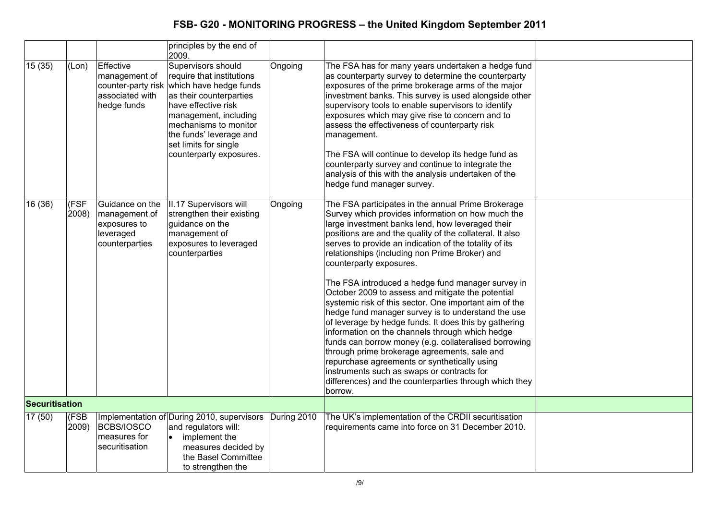|         |                |                                                                                    | principles by the end of<br>2009.                                                                                                                                                                                                                            |             |                                                                                                                                                                                                                                                                                                                                                                                                                                                                                                                                                                                                                                                                                                                                                                                                                                                                                                                                                                                  |  |
|---------|----------------|------------------------------------------------------------------------------------|--------------------------------------------------------------------------------------------------------------------------------------------------------------------------------------------------------------------------------------------------------------|-------------|----------------------------------------------------------------------------------------------------------------------------------------------------------------------------------------------------------------------------------------------------------------------------------------------------------------------------------------------------------------------------------------------------------------------------------------------------------------------------------------------------------------------------------------------------------------------------------------------------------------------------------------------------------------------------------------------------------------------------------------------------------------------------------------------------------------------------------------------------------------------------------------------------------------------------------------------------------------------------------|--|
| 15(35)  | (Lon)          | Effective<br>management of<br>counter-party risk<br>associated with<br>hedge funds | Supervisors should<br>require that institutions<br>which have hedge funds<br>as their counterparties<br>have effective risk<br>management, including<br>mechanisms to monitor<br>the funds' leverage and<br>set limits for single<br>counterparty exposures. | Ongoing     | The FSA has for many years undertaken a hedge fund<br>as counterparty survey to determine the counterparty<br>exposures of the prime brokerage arms of the major<br>investment banks. This survey is used alongside other<br>supervisory tools to enable supervisors to identify<br>exposures which may give rise to concern and to<br>assess the effectiveness of counterparty risk<br>management.<br>The FSA will continue to develop its hedge fund as<br>counterparty survey and continue to integrate the<br>analysis of this with the analysis undertaken of the<br>hedge fund manager survey.                                                                                                                                                                                                                                                                                                                                                                             |  |
| 16 (36) | (FSF<br>2008)  | Guidance on the<br>management of<br>exposures to<br>leveraged<br>counterparties    | II.17 Supervisors will<br>strengthen their existing<br>guidance on the<br>management of<br>exposures to leveraged<br>counterparties                                                                                                                          | Ongoing     | The FSA participates in the annual Prime Brokerage<br>Survey which provides information on how much the<br>large investment banks lend, how leveraged their<br>positions are and the quality of the collateral. It also<br>serves to provide an indication of the totality of its<br>relationships (including non Prime Broker) and<br>counterparty exposures.<br>The FSA introduced a hedge fund manager survey in<br>October 2009 to assess and mitigate the potential<br>systemic risk of this sector. One important aim of the<br>hedge fund manager survey is to understand the use<br>of leverage by hedge funds. It does this by gathering<br>information on the channels through which hedge<br>funds can borrow money (e.g. collateralised borrowing<br>through prime brokerage agreements, sale and<br>repurchase agreements or synthetically using<br>instruments such as swaps or contracts for<br>differences) and the counterparties through which they<br>borrow. |  |
|         | Securitisation |                                                                                    |                                                                                                                                                                                                                                                              |             |                                                                                                                                                                                                                                                                                                                                                                                                                                                                                                                                                                                                                                                                                                                                                                                                                                                                                                                                                                                  |  |
| 17(50)  | (FSB<br>2009)  | BCBS/IOSCO<br>measures for<br>securitisation                                       | Implementation of During 2010, supervisors<br>and regulators will:<br>implement the<br>measures decided by<br>the Basel Committee<br>to strengthen the                                                                                                       | During 2010 | The UK's implementation of the CRDII securitisation<br>requirements came into force on 31 December 2010.                                                                                                                                                                                                                                                                                                                                                                                                                                                                                                                                                                                                                                                                                                                                                                                                                                                                         |  |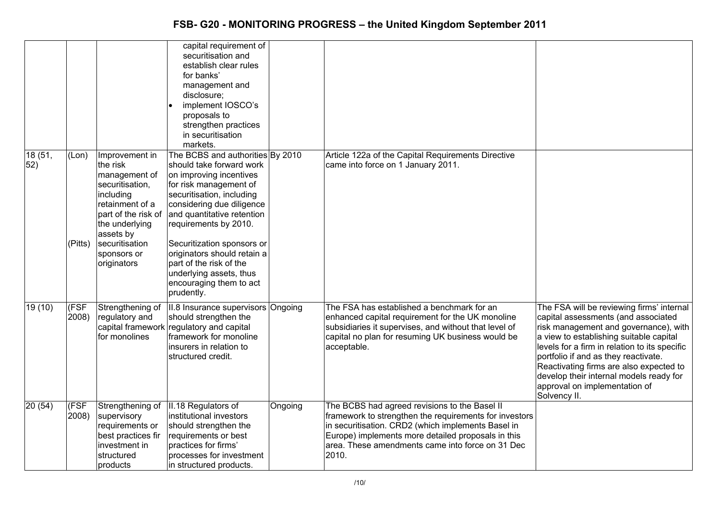| 18(51, | (Lon)          | Improvement in                                                                                                                                                                     | capital requirement of<br>securitisation and<br>establish clear rules<br>for banks'<br>management and<br>disclosure;<br>implement IOSCO's<br>proposals to<br>strengthen practices<br>in securitisation<br>markets.<br>The BCBS and authorities By 2010                                                                                                     |         | Article 122a of the Capital Requirements Directive                                                                                                                                                                                                                               |                                                                                                                                                                                                                                                                                                                                                                                                      |
|--------|----------------|------------------------------------------------------------------------------------------------------------------------------------------------------------------------------------|------------------------------------------------------------------------------------------------------------------------------------------------------------------------------------------------------------------------------------------------------------------------------------------------------------------------------------------------------------|---------|----------------------------------------------------------------------------------------------------------------------------------------------------------------------------------------------------------------------------------------------------------------------------------|------------------------------------------------------------------------------------------------------------------------------------------------------------------------------------------------------------------------------------------------------------------------------------------------------------------------------------------------------------------------------------------------------|
| 52)    | (Pitts)        | the risk<br>management of<br>securitisation,<br>including<br>retainment of a<br>part of the risk of<br>the underlying<br>assets by<br>securitisation<br>sponsors or<br>originators | should take forward work<br>on improving incentives<br>for risk management of<br>securitisation, including<br>considering due diligence<br>and quantitative retention<br>requirements by 2010.<br>Securitization sponsors or<br>originators should retain a<br>part of the risk of the<br>underlying assets, thus<br>encouraging them to act<br>prudently. |         | came into force on 1 January 2011.                                                                                                                                                                                                                                               |                                                                                                                                                                                                                                                                                                                                                                                                      |
| 19(10) | (FSF)<br>2008) | Strengthening of<br>regulatory and<br>for monolines                                                                                                                                | II.8 Insurance supervisors Ongoing<br>should strengthen the<br>capital framework regulatory and capital<br>framework for monoline<br>insurers in relation to<br>structured credit.                                                                                                                                                                         |         | The FSA has established a benchmark for an<br>enhanced capital requirement for the UK monoline<br>subsidiaries it supervises, and without that level of<br>capital no plan for resuming UK business would be<br>acceptable.                                                      | The FSA will be reviewing firms' internal<br>capital assessments (and associated<br>risk management and governance), with<br>a view to establishing suitable capital<br>levels for a firm in relation to its specific<br>portfolio if and as they reactivate.<br>Reactivating firms are also expected to<br>develop their internal models ready for<br>approval on implementation of<br>Solvency II. |
| 20(54) | (FSF<br>2008)  | Strengthening of<br>supervisory<br>requirements or<br>best practices fir<br>investment in<br>structured<br>products                                                                | II.18 Regulators of<br>linstitutional investors<br>should strengthen the<br>requirements or best<br>practices for firms'<br>processes for investment<br>in structured products.                                                                                                                                                                            | Ongoing | The BCBS had agreed revisions to the Basel II<br>framework to strengthen the requirements for investors<br>in securitisation. CRD2 (which implements Basel in<br>Europe) implements more detailed proposals in this<br>area. These amendments came into force on 31 Dec<br>2010. |                                                                                                                                                                                                                                                                                                                                                                                                      |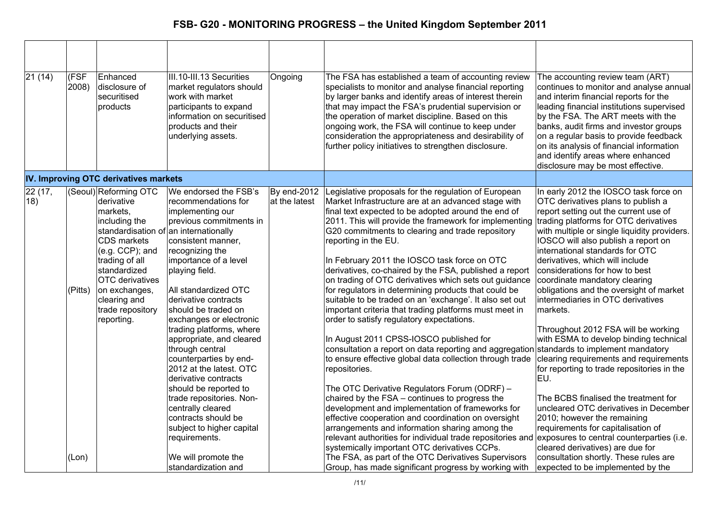| 21(14)        | (FSF<br>2008) | Enhanced<br>disclosure of<br>securitised<br>products                                                                                                                                                                              | III.10-III.13 Securities<br>market regulators should<br>work with market<br>participants to expand<br>information on securitised<br>products and their<br>underlying assets.                                                                                                                                                                                                                                                                                                                                                                                                                                                      | Ongoing                      | The FSA has established a team of accounting review<br>specialists to monitor and analyse financial reporting<br>by larger banks and identify areas of interest therein<br>that may impact the FSA's prudential supervision or<br>the operation of market discipline. Based on this<br>ongoing work, the FSA will continue to keep under<br>consideration the appropriateness and desirability of<br>further policy initiatives to strengthen disclosure.                                                                                                                                                                                                                                                                                                                                                                                                                                                                                                                                                                                                                                                                                                                                                                                                             | The accounting review team (ART)<br>continues to monitor and analyse annual<br>and interim financial reports for the<br>leading financial institutions supervised<br>by the FSA. The ART meets with the<br>banks, audit firms and investor groups<br>on a regular basis to provide feedback<br>on its analysis of financial information<br>and identify areas where enhanced<br>disclosure may be most effective.                                                                                                                                                                                                                                                                                                                                                                                                                                                                                                                                    |
|---------------|---------------|-----------------------------------------------------------------------------------------------------------------------------------------------------------------------------------------------------------------------------------|-----------------------------------------------------------------------------------------------------------------------------------------------------------------------------------------------------------------------------------------------------------------------------------------------------------------------------------------------------------------------------------------------------------------------------------------------------------------------------------------------------------------------------------------------------------------------------------------------------------------------------------|------------------------------|-----------------------------------------------------------------------------------------------------------------------------------------------------------------------------------------------------------------------------------------------------------------------------------------------------------------------------------------------------------------------------------------------------------------------------------------------------------------------------------------------------------------------------------------------------------------------------------------------------------------------------------------------------------------------------------------------------------------------------------------------------------------------------------------------------------------------------------------------------------------------------------------------------------------------------------------------------------------------------------------------------------------------------------------------------------------------------------------------------------------------------------------------------------------------------------------------------------------------------------------------------------------------|------------------------------------------------------------------------------------------------------------------------------------------------------------------------------------------------------------------------------------------------------------------------------------------------------------------------------------------------------------------------------------------------------------------------------------------------------------------------------------------------------------------------------------------------------------------------------------------------------------------------------------------------------------------------------------------------------------------------------------------------------------------------------------------------------------------------------------------------------------------------------------------------------------------------------------------------------|
|               |               | IV. Improving OTC derivatives markets                                                                                                                                                                                             |                                                                                                                                                                                                                                                                                                                                                                                                                                                                                                                                                                                                                                   |                              |                                                                                                                                                                                                                                                                                                                                                                                                                                                                                                                                                                                                                                                                                                                                                                                                                                                                                                                                                                                                                                                                                                                                                                                                                                                                       |                                                                                                                                                                                                                                                                                                                                                                                                                                                                                                                                                                                                                                                                                                                                                                                                                                                                                                                                                      |
| 22(17,<br>18) | (Pitts)       | (Seoul) Reforming OTC<br>derivative<br>markets.<br>including the<br>CDS markets<br>(e.g. CCP); and<br>trading of all<br>standardized<br><b>OTC</b> derivatives<br>on exchanges,<br>clearing and<br>trade repository<br>reporting. | We endorsed the FSB's<br>recommendations for<br>implementing our<br>previous commitments in<br>standardisation of an internationally<br>consistent manner,<br>recognizing the<br>importance of a level<br>playing field.<br>All standardized OTC<br>derivative contracts<br>should be traded on<br>exchanges or electronic<br>trading platforms, where<br>appropriate, and cleared<br>through central<br>counterparties by end-<br>2012 at the latest. OTC<br>derivative contracts<br>should be reported to<br>trade repositories. Non-<br>centrally cleared<br>contracts should be<br>subject to higher capital<br>requirements. | By end-2012<br>at the latest | Legislative proposals for the regulation of European<br>Market Infrastructure are at an advanced stage with<br>final text expected to be adopted around the end of<br>2011. This will provide the framework for implementing<br>G20 commitments to clearing and trade repository<br>reporting in the EU.<br>In February 2011 the IOSCO task force on OTC<br>derivatives, co-chaired by the FSA, published a report<br>on trading of OTC derivatives which sets out guidance<br>for regulators in determining products that could be<br>suitable to be traded on an 'exchange'. It also set out<br>important criteria that trading platforms must meet in<br>order to satisfy regulatory expectations.<br>In August 2011 CPSS-IOSCO published for<br>consultation a report on data reporting and aggregation<br>to ensure effective global data collection through trade<br>repositories.<br>The OTC Derivative Regulators Forum (ODRF) -<br>chaired by the FSA – continues to progress the<br>development and implementation of frameworks for<br>effective cooperation and coordination on oversight<br>arrangements and information sharing among the<br>relevant authorities for individual trade repositories and<br>systemically important OTC derivatives CCPs. | In early 2012 the IOSCO task force on<br>OTC derivatives plans to publish a<br>report setting out the current use of<br>trading platforms for OTC derivatives<br>with multiple or single liquidity providers.<br>IOSCO will also publish a report on<br>international standards for OTC<br>derivatives, which will include<br>considerations for how to best<br>coordinate mandatory clearing<br>obligations and the oversight of market<br>intermediaries in OTC derivatives<br>markets.<br>Throughout 2012 FSA will be working<br>with ESMA to develop binding technical<br>standards to implement mandatory<br>clearing requirements and requirements<br>for reporting to trade repositories in the<br>EU.<br>The BCBS finalised the treatment for<br>uncleared OTC derivatives in December<br>2010; however the remaining<br>requirements for capitalisation of<br>exposures to central counterparties (i.e.<br>cleared derivatives) are due for |
|               | (Lon)         |                                                                                                                                                                                                                                   | We will promote the<br>standardization and                                                                                                                                                                                                                                                                                                                                                                                                                                                                                                                                                                                        |                              | The FSA, as part of the OTC Derivatives Supervisors<br>Group, has made significant progress by working with                                                                                                                                                                                                                                                                                                                                                                                                                                                                                                                                                                                                                                                                                                                                                                                                                                                                                                                                                                                                                                                                                                                                                           | consultation shortly. These rules are<br>expected to be implemented by the                                                                                                                                                                                                                                                                                                                                                                                                                                                                                                                                                                                                                                                                                                                                                                                                                                                                           |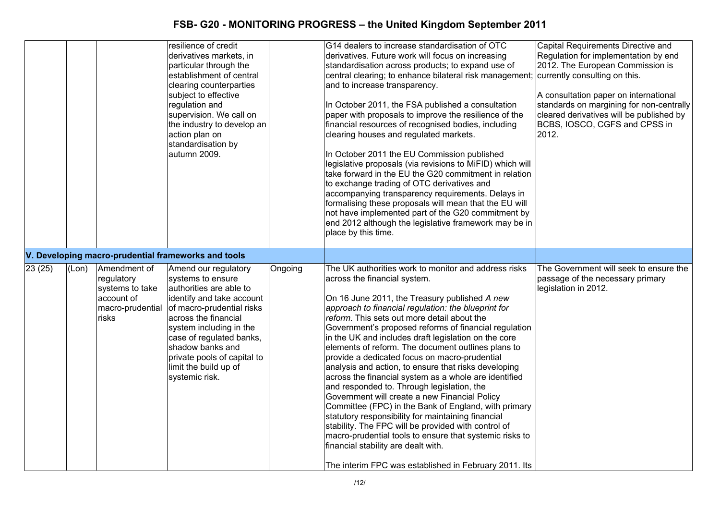|        |       |                                                                                          | resilience of credit<br>derivatives markets, in<br>particular through the<br>establishment of central<br>clearing counterparties<br>subject to effective<br>regulation and<br>supervision. We call on<br>the industry to develop an<br>action plan on<br>standardisation by<br>autumn 2009.                 |         | G14 dealers to increase standardisation of OTC<br>derivatives. Future work will focus on increasing<br>standardisation across products; to expand use of<br>central clearing; to enhance bilateral risk management; currently consulting on this.<br>and to increase transparency.<br>In October 2011, the FSA published a consultation<br>paper with proposals to improve the resilience of the<br>financial resources of recognised bodies, including<br>clearing houses and regulated markets.<br>In October 2011 the EU Commission published<br>legislative proposals (via revisions to MiFID) which will<br>take forward in the EU the G20 commitment in relation<br>to exchange trading of OTC derivatives and<br>accompanying transparency requirements. Delays in<br>formalising these proposals will mean that the EU will<br>not have implemented part of the G20 commitment by<br>end 2012 although the legislative framework may be in<br>place by this time.                                           | Capital Requirements Directive and<br>Regulation for implementation by end<br>2012. The European Commission is<br>A consultation paper on international<br>standards on margining for non-centrally<br>cleared derivatives will be published by<br>BCBS, IOSCO, CGFS and CPSS in<br>2012. |
|--------|-------|------------------------------------------------------------------------------------------|-------------------------------------------------------------------------------------------------------------------------------------------------------------------------------------------------------------------------------------------------------------------------------------------------------------|---------|---------------------------------------------------------------------------------------------------------------------------------------------------------------------------------------------------------------------------------------------------------------------------------------------------------------------------------------------------------------------------------------------------------------------------------------------------------------------------------------------------------------------------------------------------------------------------------------------------------------------------------------------------------------------------------------------------------------------------------------------------------------------------------------------------------------------------------------------------------------------------------------------------------------------------------------------------------------------------------------------------------------------|-------------------------------------------------------------------------------------------------------------------------------------------------------------------------------------------------------------------------------------------------------------------------------------------|
|        |       |                                                                                          | V. Developing macro-prudential frameworks and tools                                                                                                                                                                                                                                                         |         |                                                                                                                                                                                                                                                                                                                                                                                                                                                                                                                                                                                                                                                                                                                                                                                                                                                                                                                                                                                                                     |                                                                                                                                                                                                                                                                                           |
| 23(25) | (Lon) | Amendment of<br>regulatory<br>systems to take<br>account of<br>macro-prudential<br>risks | Amend our regulatory<br>systems to ensure<br>authorities are able to<br>identify and take account<br>of macro-prudential risks<br>across the financial<br>system including in the<br>case of regulated banks,<br>shadow banks and<br>private pools of capital to<br>limit the build up of<br>systemic risk. | Ongoing | The UK authorities work to monitor and address risks<br>across the financial system.<br>On 16 June 2011, the Treasury published A new<br>approach to financial regulation: the blueprint for<br>reform. This sets out more detail about the<br>Government's proposed reforms of financial regulation<br>in the UK and includes draft legislation on the core<br>elements of reform. The document outlines plans to<br>provide a dedicated focus on macro-prudential<br>analysis and action, to ensure that risks developing<br>across the financial system as a whole are identified<br>and responded to. Through legislation, the<br>Government will create a new Financial Policy<br>Committee (FPC) in the Bank of England, with primary<br>statutory responsibility for maintaining financial<br>stability. The FPC will be provided with control of<br>macro-prudential tools to ensure that systemic risks to<br>financial stability are dealt with.<br>The interim FPC was established in February 2011. Its | The Government will seek to ensure the<br>passage of the necessary primary<br>legislation in 2012.                                                                                                                                                                                        |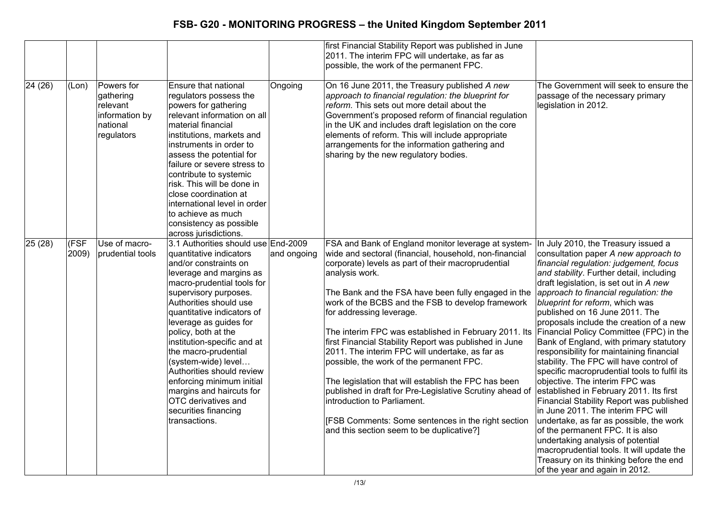|         |               |                                                                                 |                                                                                                                                                                                                                                                                                                                                                                                                                                                                                                                        |             | first Financial Stability Report was published in June<br>2011. The interim FPC will undertake, as far as<br>possible, the work of the permanent FPC.                                                                                                                                                                                                                                                                                                                                                                                                                                                                                                                                                                                                                                                 |                                                                                                                                                                                                                                                                                                                                                                                                                                                                                                                                                                                                                                                                                                                                                                                                                                                                                                                                                                                                                |
|---------|---------------|---------------------------------------------------------------------------------|------------------------------------------------------------------------------------------------------------------------------------------------------------------------------------------------------------------------------------------------------------------------------------------------------------------------------------------------------------------------------------------------------------------------------------------------------------------------------------------------------------------------|-------------|-------------------------------------------------------------------------------------------------------------------------------------------------------------------------------------------------------------------------------------------------------------------------------------------------------------------------------------------------------------------------------------------------------------------------------------------------------------------------------------------------------------------------------------------------------------------------------------------------------------------------------------------------------------------------------------------------------------------------------------------------------------------------------------------------------|----------------------------------------------------------------------------------------------------------------------------------------------------------------------------------------------------------------------------------------------------------------------------------------------------------------------------------------------------------------------------------------------------------------------------------------------------------------------------------------------------------------------------------------------------------------------------------------------------------------------------------------------------------------------------------------------------------------------------------------------------------------------------------------------------------------------------------------------------------------------------------------------------------------------------------------------------------------------------------------------------------------|
| 24 (26) | (Lon)         | Powers for<br>gathering<br>relevant<br>information by<br>national<br>regulators | Ensure that national<br>regulators possess the<br>powers for gathering<br>relevant information on all<br>material financial<br>institutions, markets and<br>instruments in order to<br>assess the potential for<br>failure or severe stress to<br>contribute to systemic<br>risk. This will be done in<br>close coordination at<br>international level in order<br>to achieve as much<br>consistency as possible<br>across jurisdictions.                                                                              | Ongoing     | On 16 June 2011, the Treasury published A new<br>approach to financial regulation: the blueprint for<br>reform. This sets out more detail about the<br>Government's proposed reform of financial regulation<br>in the UK and includes draft legislation on the core<br>elements of reform. This will include appropriate<br>arrangements for the information gathering and<br>sharing by the new regulatory bodies.                                                                                                                                                                                                                                                                                                                                                                                   | The Government will seek to ensure the<br>passage of the necessary primary<br>legislation in 2012.                                                                                                                                                                                                                                                                                                                                                                                                                                                                                                                                                                                                                                                                                                                                                                                                                                                                                                             |
| 25(28)  | (FSF<br>2009) | Use of macro-<br>prudential tools                                               | 3.1 Authorities should use End-2009<br>quantitative indicators<br>and/or constraints on<br>leverage and margins as<br>macro-prudential tools for<br>supervisory purposes.<br>Authorities should use<br>quantitative indicators of<br>leverage as guides for<br>policy, both at the<br>institution-specific and at<br>the macro-prudential<br>(system-wide) level<br>Authorities should review<br>enforcing minimum initial<br>margins and haircuts for<br>OTC derivatives and<br>securities financing<br>transactions. | and ongoing | FSA and Bank of England monitor leverage at system-<br>wide and sectoral (financial, household, non-financial<br>corporate) levels as part of their macroprudential<br>analysis work.<br>The Bank and the FSA have been fully engaged in the<br>work of the BCBS and the FSB to develop framework<br>for addressing leverage.<br>The interim FPC was established in February 2011. Its<br>first Financial Stability Report was published in June<br>2011. The interim FPC will undertake, as far as<br>possible, the work of the permanent FPC.<br>The legislation that will establish the FPC has been<br>published in draft for Pre-Legislative Scrutiny ahead of<br>introduction to Parliament.<br>[FSB Comments: Some sentences in the right section<br>and this section seem to be duplicative?] | In July 2010, the Treasury issued a<br>consultation paper A new approach to<br>financial regulation: judgement, focus<br>and stability. Further detail, including<br>draft legislation, is set out in A new<br>approach to financial regulation: the<br>blueprint for reform, which was<br>published on 16 June 2011. The<br>proposals include the creation of a new<br>Financial Policy Committee (FPC) in the<br>Bank of England, with primary statutory<br>responsibility for maintaining financial<br>stability. The FPC will have control of<br>specific macroprudential tools to fulfil its<br>objective. The interim FPC was<br>established in February 2011. Its first<br>Financial Stability Report was published<br>in June 2011. The interim FPC will<br>undertake, as far as possible, the work<br>of the permanent FPC. It is also<br>undertaking analysis of potential<br>macroprudential tools. It will update the<br>Treasury on its thinking before the end<br>of the year and again in 2012. |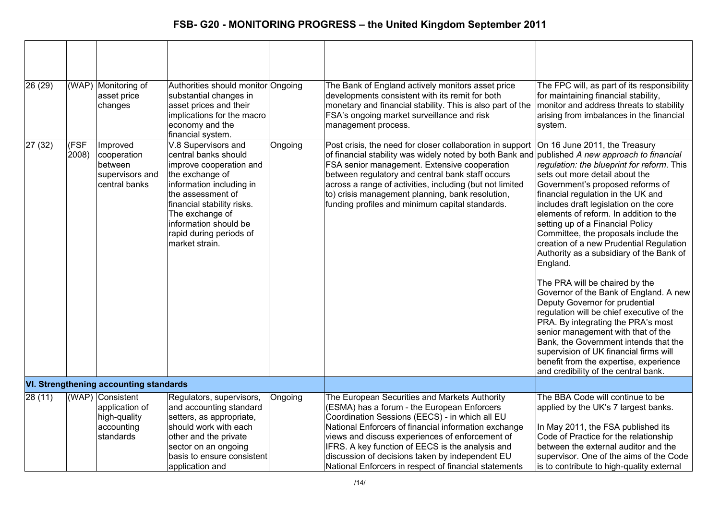| 26 (29) | (WAP)         | Monitoring of<br>asset price<br>changes                                       | Authorities should monitor Ongoing<br>substantial changes in<br>asset prices and their<br>implications for the macro<br>economy and the                                                                                                                                                |         | The Bank of England actively monitors asset price<br>developments consistent with its remit for both<br>monetary and financial stability. This is also part of the<br>FSA's ongoing market surveillance and risk<br>management process.                                                                                                                                                                                            | The FPC will, as part of its responsibility<br>for maintaining financial stability,<br>monitor and address threats to stability<br>arising from imbalances in the financial<br>system.                                                                                                                                                                                                                                                                                                                                                                                                                                                                                                                                                                                                                                                                                 |
|---------|---------------|-------------------------------------------------------------------------------|----------------------------------------------------------------------------------------------------------------------------------------------------------------------------------------------------------------------------------------------------------------------------------------|---------|------------------------------------------------------------------------------------------------------------------------------------------------------------------------------------------------------------------------------------------------------------------------------------------------------------------------------------------------------------------------------------------------------------------------------------|------------------------------------------------------------------------------------------------------------------------------------------------------------------------------------------------------------------------------------------------------------------------------------------------------------------------------------------------------------------------------------------------------------------------------------------------------------------------------------------------------------------------------------------------------------------------------------------------------------------------------------------------------------------------------------------------------------------------------------------------------------------------------------------------------------------------------------------------------------------------|
| 27(32)  | (FSF<br>2008) | Improved<br>cooperation<br>between<br>supervisors and<br>central banks        | financial system.<br>V.8 Supervisors and<br>central banks should<br>improve cooperation and<br>the exchange of<br>information including in<br>the assessment of<br>financial stability risks.<br>The exchange of<br>information should be<br>rapid during periods of<br>market strain. | Ongoing | Post crisis, the need for closer collaboration in support<br>of financial stability was widely noted by both Bank and published A new approach to financial<br>FSA senior management. Extensive cooperation<br>between regulatory and central bank staff occurs<br>across a range of activities, including (but not limited<br>to) crisis management planning, bank resolution,<br>funding profiles and minimum capital standards. | On 16 June 2011, the Treasury<br>regulation: the blueprint for reform. This<br>sets out more detail about the<br>Government's proposed reforms of<br>financial regulation in the UK and<br>includes draft legislation on the core<br>elements of reform. In addition to the<br>setting up of a Financial Policy<br>Committee, the proposals include the<br>creation of a new Prudential Regulation<br>Authority as a subsidiary of the Bank of<br>England.<br>The PRA will be chaired by the<br>Governor of the Bank of England. A new<br>Deputy Governor for prudential<br>regulation will be chief executive of the<br>PRA. By integrating the PRA's most<br>senior management with that of the<br>Bank, the Government intends that the<br>supervision of UK financial firms will<br>benefit from the expertise, experience<br>and credibility of the central bank. |
|         |               | <b>VI. Strengthening accounting standards</b>                                 |                                                                                                                                                                                                                                                                                        |         |                                                                                                                                                                                                                                                                                                                                                                                                                                    |                                                                                                                                                                                                                                                                                                                                                                                                                                                                                                                                                                                                                                                                                                                                                                                                                                                                        |
| 28(11)  |               | (WAP) Consistent<br>application of<br>high-quality<br>accounting<br>standards | Regulators, supervisors,<br>and accounting standard<br>setters, as appropriate,<br>should work with each<br>other and the private<br>sector on an ongoing<br>basis to ensure consistent<br>application and                                                                             | Ongoing | The European Securities and Markets Authority<br>(ESMA) has a forum - the European Enforcers<br>Coordination Sessions (EECS) - in which all EU<br>National Enforcers of financial information exchange<br>views and discuss experiences of enforcement of<br>IFRS. A key function of EECS is the analysis and<br>discussion of decisions taken by independent EU<br>National Enforcers in respect of financial statements          | The BBA Code will continue to be<br>applied by the UK's 7 largest banks.<br>In May 2011, the FSA published its<br>Code of Practice for the relationship<br>between the external auditor and the<br>supervisor. One of the aims of the Code<br>is to contribute to high-quality external                                                                                                                                                                                                                                                                                                                                                                                                                                                                                                                                                                                |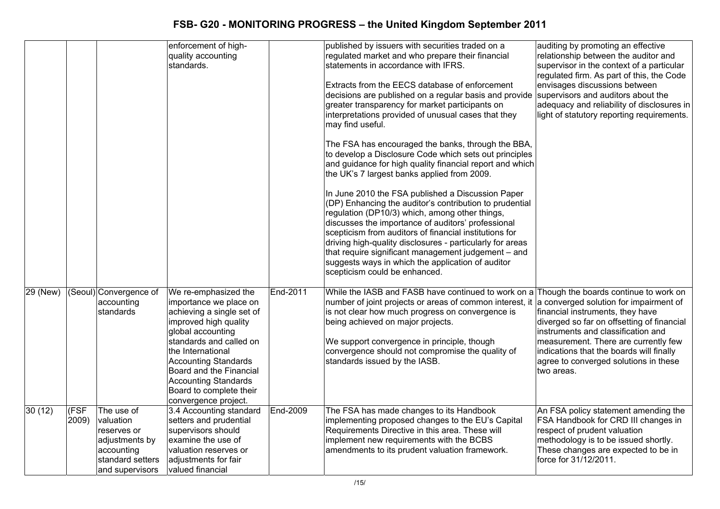|          |               |                                                                                                               | enforcement of high-<br>quality accounting<br>standards.                                                                                                                                                                                                                                                              |          | published by issuers with securities traded on a<br>regulated market and who prepare their financial<br>statements in accordance with IFRS.<br>Extracts from the EECS database of enforcement<br>decisions are published on a regular basis and provide<br>greater transparency for market participants on<br>interpretations provided of unusual cases that they<br>may find useful.<br>The FSA has encouraged the banks, through the BBA,<br>to develop a Disclosure Code which sets out principles<br>and guidance for high quality financial report and which<br>the UK's 7 largest banks applied from 2009.<br>In June 2010 the FSA published a Discussion Paper<br>(DP) Enhancing the auditor's contribution to prudential<br>regulation (DP10/3) which, among other things,<br>discusses the importance of auditors' professional<br>scepticism from auditors of financial institutions for<br>driving high-quality disclosures - particularly for areas<br>that require significant management judgement - and<br>suggests ways in which the application of auditor<br>scepticism could be enhanced. | auditing by promoting an effective<br>relationship between the auditor and<br>supervisor in the context of a particular<br>regulated firm. As part of this, the Code<br>envisages discussions between<br>supervisors and auditors about the<br>adequacy and reliability of disclosures in<br>light of statutory reporting requirements. |
|----------|---------------|---------------------------------------------------------------------------------------------------------------|-----------------------------------------------------------------------------------------------------------------------------------------------------------------------------------------------------------------------------------------------------------------------------------------------------------------------|----------|--------------------------------------------------------------------------------------------------------------------------------------------------------------------------------------------------------------------------------------------------------------------------------------------------------------------------------------------------------------------------------------------------------------------------------------------------------------------------------------------------------------------------------------------------------------------------------------------------------------------------------------------------------------------------------------------------------------------------------------------------------------------------------------------------------------------------------------------------------------------------------------------------------------------------------------------------------------------------------------------------------------------------------------------------------------------------------------------------------------|-----------------------------------------------------------------------------------------------------------------------------------------------------------------------------------------------------------------------------------------------------------------------------------------------------------------------------------------|
| 29 (New) |               | (Seoul) Convergence of<br>accounting<br>standards                                                             | We re-emphasized the<br>importance we place on<br>achieving a single set of<br>improved high quality<br>global accounting<br>standards and called on<br>the International<br><b>Accounting Standards</b><br>Board and the Financial<br><b>Accounting Standards</b><br>Board to complete their<br>convergence project. | End-2011 | While the IASB and FASB have continued to work on a Though the boards continue to work on<br>number of joint projects or areas of common interest, it<br>is not clear how much progress on convergence is<br>being achieved on major projects.<br>We support convergence in principle, though<br>convergence should not compromise the quality of<br>standards issued by the IASB.                                                                                                                                                                                                                                                                                                                                                                                                                                                                                                                                                                                                                                                                                                                           | a converged solution for impairment of<br>financial instruments, they have<br>diverged so far on offsetting of financial<br>instruments and classification and<br>measurement. There are currently few<br>indications that the boards will finally<br>agree to converged solutions in these<br>two areas.                               |
| 30(12)   | (FSF<br>2009) | The use of<br>valuation<br>reserves or<br>adjustments by<br>accounting<br>standard setters<br>and supervisors | 3.4 Accounting standard<br>setters and prudential<br>supervisors should<br>examine the use of<br>valuation reserves or<br>adjustments for fair<br>valued financial                                                                                                                                                    | End-2009 | The FSA has made changes to its Handbook<br>implementing proposed changes to the EU's Capital<br>Requirements Directive in this area. These will<br>implement new requirements with the BCBS<br>amendments to its prudent valuation framework.                                                                                                                                                                                                                                                                                                                                                                                                                                                                                                                                                                                                                                                                                                                                                                                                                                                               | An FSA policy statement amending the<br>FSA Handbook for CRD III changes in<br>respect of prudent valuation<br>methodology is to be issued shortly.<br>These changes are expected to be in<br>force for 31/12/2011.                                                                                                                     |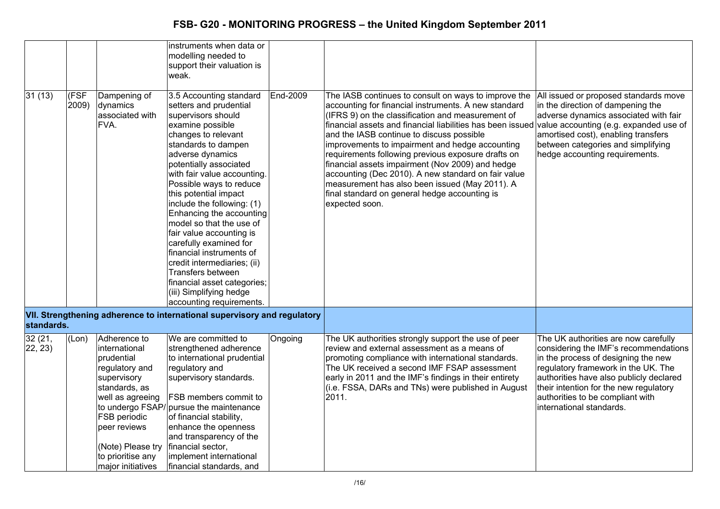|                    |                                   |                                                                                                                                                                                                                  | instruments when data or<br>modelling needed to<br>support their valuation is<br>weak.                                                                                                                                                                                                                                                                                                                                                                                                                                                                                                       |                 |                                                                                                                                                                                                                                                                                                                                                                                                                                                                                                                                                                                                                       |                                                                                                                                                                                                                                                                                                                  |
|--------------------|-----------------------------------|------------------------------------------------------------------------------------------------------------------------------------------------------------------------------------------------------------------|----------------------------------------------------------------------------------------------------------------------------------------------------------------------------------------------------------------------------------------------------------------------------------------------------------------------------------------------------------------------------------------------------------------------------------------------------------------------------------------------------------------------------------------------------------------------------------------------|-----------------|-----------------------------------------------------------------------------------------------------------------------------------------------------------------------------------------------------------------------------------------------------------------------------------------------------------------------------------------------------------------------------------------------------------------------------------------------------------------------------------------------------------------------------------------------------------------------------------------------------------------------|------------------------------------------------------------------------------------------------------------------------------------------------------------------------------------------------------------------------------------------------------------------------------------------------------------------|
| 31(13)             | $\overline{\text{(FSF}}$<br>2009) | Dampening of<br>dynamics<br>associated with<br>FVA.                                                                                                                                                              | 3.5 Accounting standard<br>setters and prudential<br>supervisors should<br>examine possible<br>changes to relevant<br>standards to dampen<br>adverse dynamics<br>potentially associated<br>with fair value accounting.<br>Possible ways to reduce<br>this potential impact<br>include the following: (1)<br>Enhancing the accounting<br>model so that the use of<br>fair value accounting is<br>carefully examined for<br>financial instruments of<br>credit intermediaries; (ii)<br>Transfers between<br>financial asset categories;<br>(iii) Simplifying hedge<br>accounting requirements. | <b>End-2009</b> | The IASB continues to consult on ways to improve the<br>accounting for financial instruments. A new standard<br>(IFRS 9) on the classification and measurement of<br>financial assets and financial liabilities has been issued<br>and the IASB continue to discuss possible<br>improvements to impairment and hedge accounting<br>requirements following previous exposure drafts on<br>financial assets impairment (Nov 2009) and hedge<br>accounting (Dec 2010). A new standard on fair value<br>measurement has also been issued (May 2011). A<br>final standard on general hedge accounting is<br>expected soon. | All issued or proposed standards move<br>in the direction of dampening the<br>adverse dynamics associated with fair<br>value accounting (e.g. expanded use of<br>amortised cost), enabling transfers<br>between categories and simplifying<br>hedge accounting requirements.                                     |
| standards.         |                                   |                                                                                                                                                                                                                  | VII. Strengthening adherence to international supervisory and regulatory                                                                                                                                                                                                                                                                                                                                                                                                                                                                                                                     |                 |                                                                                                                                                                                                                                                                                                                                                                                                                                                                                                                                                                                                                       |                                                                                                                                                                                                                                                                                                                  |
| 32 (21,<br>22, 23) | (Lon)                             | Adherence to<br>international<br>prudential<br>regulatory and<br>supervisory<br>standards, as<br>well as agreeing<br>FSB periodic<br>peer reviews<br>(Note) Please try<br>to prioritise any<br>major initiatives | We are committed to<br>strengthened adherence<br>to international prudential<br>regulatory and<br>supervisory standards.<br>FSB members commit to<br>to undergo FSAP/pursue the maintenance<br>of financial stability,<br>enhance the openness<br>and transparency of the<br>financial sector,<br>implement international<br>financial standards, and                                                                                                                                                                                                                                        | Ongoing         | The UK authorities strongly support the use of peer<br>review and external assessment as a means of<br>promoting compliance with international standards.<br>The UK received a second IMF FSAP assessment<br>early in 2011 and the IMF's findings in their entirety<br>(i.e. FSSA, DARs and TNs) were published in August<br>2011.                                                                                                                                                                                                                                                                                    | The UK authorities are now carefully<br>considering the IMF's recommendations<br>in the process of designing the new<br>regulatory framework in the UK. The<br>authorities have also publicly declared<br>their intention for the new regulatory<br>authorities to be compliant with<br>international standards. |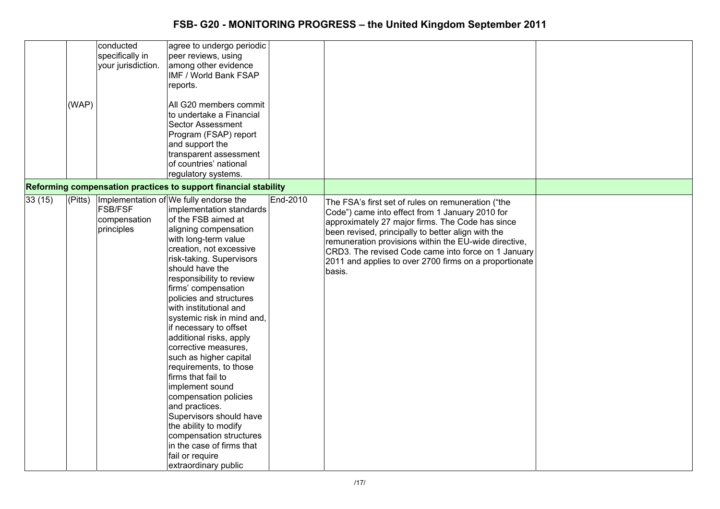|        | (WAP) | conducted<br>specifically in<br>your jurisdiction. | agree to undergo periodic<br>peer reviews, using<br>among other evidence<br>IMF / World Bank FSAP<br>reports.<br>All G20 members commit<br>to undertake a Financial<br><b>Sector Assessment</b><br>Program (FSAP) report<br>and support the<br>transparent assessment<br>of countries' national<br>regulatory systems.<br>Reforming compensation practices to support financial stability                                                                                                                                                                                                                                                                                                    |          |                                                                                                                                                                                                                                                                                                                                                                                                     |  |
|--------|-------|----------------------------------------------------|----------------------------------------------------------------------------------------------------------------------------------------------------------------------------------------------------------------------------------------------------------------------------------------------------------------------------------------------------------------------------------------------------------------------------------------------------------------------------------------------------------------------------------------------------------------------------------------------------------------------------------------------------------------------------------------------|----------|-----------------------------------------------------------------------------------------------------------------------------------------------------------------------------------------------------------------------------------------------------------------------------------------------------------------------------------------------------------------------------------------------------|--|
| 33(15) |       |                                                    | (Pitts) Implementation of We fully endorse the                                                                                                                                                                                                                                                                                                                                                                                                                                                                                                                                                                                                                                               | End-2010 |                                                                                                                                                                                                                                                                                                                                                                                                     |  |
|        |       | <b>FSB/FSF</b><br>compensation<br>principles       | implementation standards<br>of the FSB aimed at<br>aligning compensation<br>with long-term value<br>creation, not excessive<br>risk-taking. Supervisors<br>should have the<br>responsibility to review<br>firms' compensation<br>policies and structures<br>with institutional and<br>systemic risk in mind and,<br>if necessary to offset<br>additional risks, apply<br>corrective measures,<br>such as higher capital<br>requirements, to those<br>firms that fail to<br>implement sound<br>compensation policies<br>and practices.<br>Supervisors should have<br>the ability to modify<br>compensation structures<br>in the case of firms that<br>fail or require<br>extraordinary public |          | The FSA's first set of rules on remuneration ("the<br>Code") came into effect from 1 January 2010 for<br>approximately 27 major firms. The Code has since<br>been revised, principally to better align with the<br>remuneration provisions within the EU-wide directive,<br>CRD3. The revised Code came into force on 1 January<br>2011 and applies to over 2700 firms on a proportionate<br>basis. |  |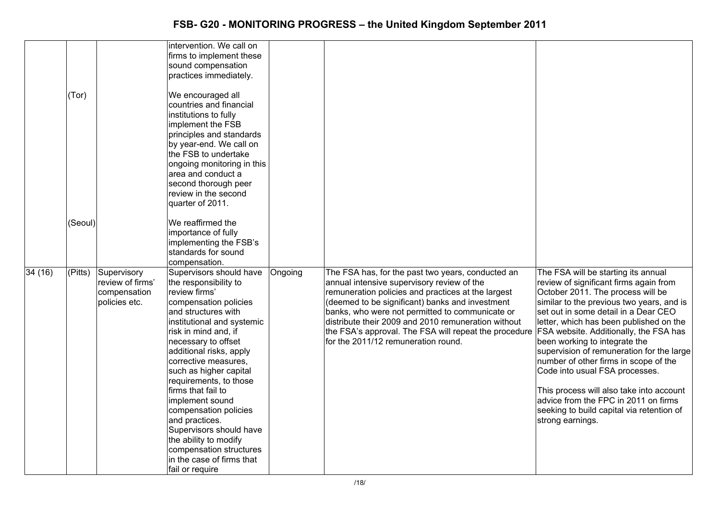|         |         |                                                                  | intervention. We call on<br>firms to implement these<br>sound compensation<br>practices immediately.                                                                                                                                                                                                                                                                                                                                                                                                                     |         |                                                                                                                                                                                                                                                                                                                                                                                                                                                           |                                                                                                                                                                                                                                                                                                                                                                                                                                                                                                                                                                  |
|---------|---------|------------------------------------------------------------------|--------------------------------------------------------------------------------------------------------------------------------------------------------------------------------------------------------------------------------------------------------------------------------------------------------------------------------------------------------------------------------------------------------------------------------------------------------------------------------------------------------------------------|---------|-----------------------------------------------------------------------------------------------------------------------------------------------------------------------------------------------------------------------------------------------------------------------------------------------------------------------------------------------------------------------------------------------------------------------------------------------------------|------------------------------------------------------------------------------------------------------------------------------------------------------------------------------------------------------------------------------------------------------------------------------------------------------------------------------------------------------------------------------------------------------------------------------------------------------------------------------------------------------------------------------------------------------------------|
|         | (Tor)   |                                                                  | We encouraged all<br>countries and financial<br>institutions to fully<br>implement the FSB<br>principles and standards<br>by year-end. We call on<br>the FSB to undertake<br>ongoing monitoring in this<br>area and conduct a<br>second thorough peer<br>review in the second<br>quarter of 2011.                                                                                                                                                                                                                        |         |                                                                                                                                                                                                                                                                                                                                                                                                                                                           |                                                                                                                                                                                                                                                                                                                                                                                                                                                                                                                                                                  |
|         | (Seoul) |                                                                  | We reaffirmed the<br>importance of fully<br>implementing the FSB's<br>standards for sound<br>compensation.                                                                                                                                                                                                                                                                                                                                                                                                               |         |                                                                                                                                                                                                                                                                                                                                                                                                                                                           |                                                                                                                                                                                                                                                                                                                                                                                                                                                                                                                                                                  |
| 34 (16) | (Pitts) | Supervisory<br>review of firms'<br>compensation<br>policies etc. | Supervisors should have<br>the responsibility to<br>review firms'<br>compensation policies<br>and structures with<br>institutional and systemic<br>risk in mind and, if<br>necessary to offset<br>additional risks, apply<br>corrective measures,<br>such as higher capital<br>requirements, to those<br>firms that fail to<br>implement sound<br>compensation policies<br>and practices.<br>Supervisors should have<br>the ability to modify<br>compensation structures<br>in the case of firms that<br>fail or require | Ongoing | The FSA has, for the past two years, conducted an<br>annual intensive supervisory review of the<br>remuneration policies and practices at the largest<br>(deemed to be significant) banks and investment<br>banks, who were not permitted to communicate or<br>distribute their 2009 and 2010 remuneration without<br>the FSA's approval. The FSA will repeat the procedure FSA website. Additionally, the FSA has<br>for the 2011/12 remuneration round. | The FSA will be starting its annual<br>review of significant firms again from<br>October 2011. The process will be<br>similar to the previous two years, and is<br>set out in some detail in a Dear CEO<br>letter, which has been published on the<br>been working to integrate the<br>supervision of remuneration for the large<br>number of other firms in scope of the<br>Code into usual FSA processes.<br>This process will also take into account<br>advice from the FPC in 2011 on firms<br>seeking to build capital via retention of<br>strong earnings. |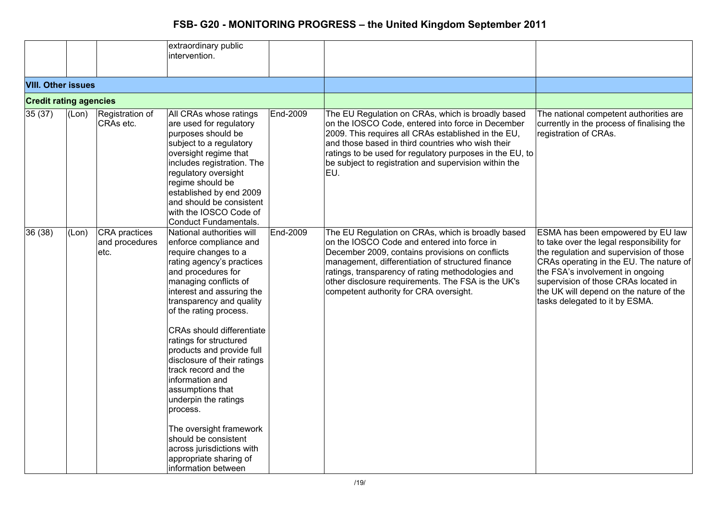|                               |       |                                                | extraordinary public<br>intervention.                                                                                                                                                                                                                                                                                                                                                                                                                                                                                                                                                                    |                 |                                                                                                                                                                                                                                                                                                                                                               |                                                                                                                                                                                                                                                                                                                               |
|-------------------------------|-------|------------------------------------------------|----------------------------------------------------------------------------------------------------------------------------------------------------------------------------------------------------------------------------------------------------------------------------------------------------------------------------------------------------------------------------------------------------------------------------------------------------------------------------------------------------------------------------------------------------------------------------------------------------------|-----------------|---------------------------------------------------------------------------------------------------------------------------------------------------------------------------------------------------------------------------------------------------------------------------------------------------------------------------------------------------------------|-------------------------------------------------------------------------------------------------------------------------------------------------------------------------------------------------------------------------------------------------------------------------------------------------------------------------------|
| <b>VIII. Other issues</b>     |       |                                                |                                                                                                                                                                                                                                                                                                                                                                                                                                                                                                                                                                                                          |                 |                                                                                                                                                                                                                                                                                                                                                               |                                                                                                                                                                                                                                                                                                                               |
| <b>Credit rating agencies</b> |       |                                                |                                                                                                                                                                                                                                                                                                                                                                                                                                                                                                                                                                                                          |                 |                                                                                                                                                                                                                                                                                                                                                               |                                                                                                                                                                                                                                                                                                                               |
| 35(37)                        | (Lon) | Registration of<br>CRAs etc.                   | All CRAs whose ratings<br>are used for regulatory<br>purposes should be<br>subject to a regulatory<br>oversight regime that<br>includes registration. The<br>regulatory oversight<br>regime should be<br>established by end 2009<br>and should be consistent<br>with the IOSCO Code of<br>Conduct Fundamentals.                                                                                                                                                                                                                                                                                          | <b>End-2009</b> | The EU Regulation on CRAs, which is broadly based<br>on the IOSCO Code, entered into force in December<br>2009. This requires all CRAs established in the EU,<br>and those based in third countries who wish their<br>ratings to be used for regulatory purposes in the EU, to<br>be subject to registration and supervision within the<br>IEU.               | The national competent authorities are<br>currently in the process of finalising the<br>registration of CRAs.                                                                                                                                                                                                                 |
| 36 (38)                       | (Lon) | <b>CRA</b> practices<br>and procedures<br>etc. | National authorities will<br>enforce compliance and<br>require changes to a<br>rating agency's practices<br>and procedures for<br>managing conflicts of<br>interest and assuring the<br>transparency and quality<br>of the rating process.<br><b>CRAs should differentiate</b><br>ratings for structured<br>products and provide full<br>disclosure of their ratings<br>track record and the<br>information and<br>assumptions that<br>underpin the ratings<br>process.<br>The oversight framework<br>should be consistent<br>across jurisdictions with<br>appropriate sharing of<br>information between | End-2009        | The EU Regulation on CRAs, which is broadly based<br>on the IOSCO Code and entered into force in<br>December 2009, contains provisions on conflicts<br>management, differentiation of structured finance<br>ratings, transparency of rating methodologies and<br>other disclosure requirements. The FSA is the UK's<br>competent authority for CRA oversight. | ESMA has been empowered by EU law<br>to take over the legal responsibility for<br>the regulation and supervision of those<br>CRAs operating in the EU. The nature of<br>the FSA's involvement in ongoing<br>supervision of those CRAs located in<br>the UK will depend on the nature of the<br>tasks delegated to it by ESMA. |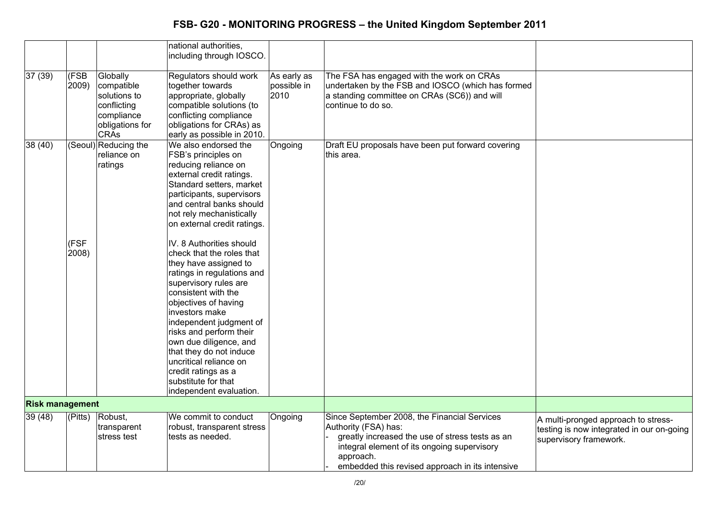|                        |                      |                                                                                                       | national authorities,<br>including through IOSCO.                                                                                                                                                                                                                                                                                                                                                                                                                                                                                                                                                                                                                       |                                    |                                                                                                                                                                                                                                        |                                                                                                            |
|------------------------|----------------------|-------------------------------------------------------------------------------------------------------|-------------------------------------------------------------------------------------------------------------------------------------------------------------------------------------------------------------------------------------------------------------------------------------------------------------------------------------------------------------------------------------------------------------------------------------------------------------------------------------------------------------------------------------------------------------------------------------------------------------------------------------------------------------------------|------------------------------------|----------------------------------------------------------------------------------------------------------------------------------------------------------------------------------------------------------------------------------------|------------------------------------------------------------------------------------------------------------|
| 37 (39)                | (FSB<br>2009)        | Globally<br>compatible<br>solutions to<br>conflicting<br>compliance<br>obligations for<br><b>CRAs</b> | Regulators should work<br>together towards<br>appropriate, globally<br>compatible solutions (to<br>conflicting compliance<br>obligations for CRAs) as<br>early as possible in 2010.                                                                                                                                                                                                                                                                                                                                                                                                                                                                                     | As early as<br>possible in<br>2010 | The FSA has engaged with the work on CRAs<br>undertaken by the FSB and IOSCO (which has formed<br>a standing committee on CRAs (SC6)) and will<br>continue to do so.                                                                   |                                                                                                            |
| 38 (40)                | (FSF<br>2008)        | (Seoul) Reducing the<br>reliance on<br>ratings                                                        | We also endorsed the<br>FSB's principles on<br>reducing reliance on<br>external credit ratings.<br>Standard setters, market<br>participants, supervisors<br>and central banks should<br>not rely mechanistically<br>on external credit ratings.<br>IV. 8 Authorities should<br>check that the roles that<br>they have assigned to<br>ratings in regulations and<br>supervisory rules are<br>consistent with the<br>objectives of having<br>investors make<br>independent judgment of<br>risks and perform their<br>own due diligence, and<br>that they do not induce<br>uncritical reliance on<br>credit ratings as a<br>substitute for that<br>independent evaluation. | Ongoing                            | Draft EU proposals have been put forward covering<br>lthis area.                                                                                                                                                                       |                                                                                                            |
| <b>Risk management</b> |                      |                                                                                                       |                                                                                                                                                                                                                                                                                                                                                                                                                                                                                                                                                                                                                                                                         |                                    |                                                                                                                                                                                                                                        |                                                                                                            |
| 39(48)                 | $\sqrt{\text{Pitt}}$ | Robust,<br>transparent<br>stress test                                                                 | We commit to conduct<br>robust, transparent stress<br>tests as needed.                                                                                                                                                                                                                                                                                                                                                                                                                                                                                                                                                                                                  | Ongoing                            | Since September 2008, the Financial Services<br>Authority (FSA) has:<br>greatly increased the use of stress tests as an<br>integral element of its ongoing supervisory<br>approach.<br>embedded this revised approach in its intensive | A multi-pronged approach to stress-<br>testing is now integrated in our on-going<br>supervisory framework. |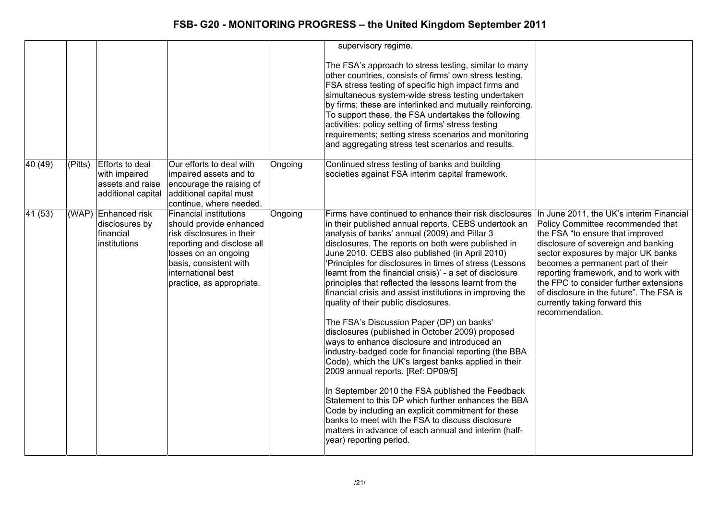|                 |         |                                                                            |                                                                                                                                                                                                                   |         | supervisory regime.                                                                                                                                                                                                                                                                                                                                                                                                                                                                                                                                                                                                                                                                                                                                                                                                                                                                                                                                                                                                                                                                                                                                                                                                   |                                                                                                                                                                                                                                                                                                                                                                            |
|-----------------|---------|----------------------------------------------------------------------------|-------------------------------------------------------------------------------------------------------------------------------------------------------------------------------------------------------------------|---------|-----------------------------------------------------------------------------------------------------------------------------------------------------------------------------------------------------------------------------------------------------------------------------------------------------------------------------------------------------------------------------------------------------------------------------------------------------------------------------------------------------------------------------------------------------------------------------------------------------------------------------------------------------------------------------------------------------------------------------------------------------------------------------------------------------------------------------------------------------------------------------------------------------------------------------------------------------------------------------------------------------------------------------------------------------------------------------------------------------------------------------------------------------------------------------------------------------------------------|----------------------------------------------------------------------------------------------------------------------------------------------------------------------------------------------------------------------------------------------------------------------------------------------------------------------------------------------------------------------------|
|                 |         |                                                                            |                                                                                                                                                                                                                   |         | The FSA's approach to stress testing, similar to many<br>other countries, consists of firms' own stress testing,<br>FSA stress testing of specific high impact firms and<br>simultaneous system-wide stress testing undertaken<br>by firms; these are interlinked and mutually reinforcing.<br>To support these, the FSA undertakes the following<br>activities: policy setting of firms' stress testing<br>requirements; setting stress scenarios and monitoring<br>and aggregating stress test scenarios and results.                                                                                                                                                                                                                                                                                                                                                                                                                                                                                                                                                                                                                                                                                               |                                                                                                                                                                                                                                                                                                                                                                            |
| 40 (49)         | (Pitts) | Efforts to deal<br>with impaired<br>assets and raise<br>additional capital | Our efforts to deal with<br>impaired assets and to<br>encourage the raising of<br>additional capital must<br>continue, where needed.                                                                              | Ongoing | Continued stress testing of banks and building<br>societies against FSA interim capital framework.                                                                                                                                                                                                                                                                                                                                                                                                                                                                                                                                                                                                                                                                                                                                                                                                                                                                                                                                                                                                                                                                                                                    |                                                                                                                                                                                                                                                                                                                                                                            |
| $\sqrt{41(53)}$ |         | (WAP) Enhanced risk<br>disclosures by<br>financial<br>institutions         | Financial institutions<br>should provide enhanced<br>risk disclosures in their<br>reporting and disclose all<br>losses on an ongoing<br>basis, consistent with<br>international best<br>practice, as appropriate. | Ongoing | Firms have continued to enhance their risk disclosures In June 2011, the UK's interim Financial<br>in their published annual reports. CEBS undertook an<br>analysis of banks' annual (2009) and Pillar 3<br>disclosures. The reports on both were published in<br>June 2010. CEBS also published (in April 2010)<br>'Principles for disclosures in times of stress (Lessons<br>learnt from the financial crisis)' - a set of disclosure<br>principles that reflected the lessons learnt from the<br>financial crisis and assist institutions in improving the<br>quality of their public disclosures.<br>The FSA's Discussion Paper (DP) on banks'<br>disclosures (published in October 2009) proposed<br>ways to enhance disclosure and introduced an<br>industry-badged code for financial reporting (the BBA<br>Code), which the UK's largest banks applied in their<br>2009 annual reports. [Ref: DP09/5]<br>In September 2010 the FSA published the Feedback<br>Statement to this DP which further enhances the BBA<br>Code by including an explicit commitment for these<br>banks to meet with the FSA to discuss disclosure<br>matters in advance of each annual and interim (half-<br>year) reporting period. | Policy Committee recommended that<br>the FSA "to ensure that improved<br>disclosure of sovereign and banking<br>sector exposures by major UK banks<br>becomes a permanent part of their<br>reporting framework, and to work with<br>the FPC to consider further extensions<br>of disclosure in the future". The FSA is<br>currently taking forward this<br>recommendation. |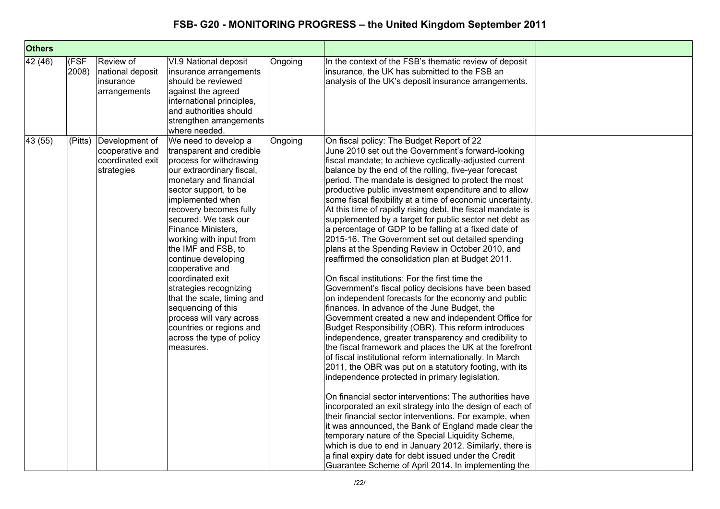| <b>Others</b> |               |                                                                     |                                                                                                                                                                                                                                                                                                                                                                                                                                                                                                                                                         |         |                                                                                                                                                                                                                                                                                                                                                                                                                                                                                                                                                                                                                                                                                                                                                                                                                                                                                                                                                                                                                                                                                                                                                                                                                                                                                                                                                                                                                                                                                                                                                                                                                                                                                                                                                                                                                                                      |  |
|---------------|---------------|---------------------------------------------------------------------|---------------------------------------------------------------------------------------------------------------------------------------------------------------------------------------------------------------------------------------------------------------------------------------------------------------------------------------------------------------------------------------------------------------------------------------------------------------------------------------------------------------------------------------------------------|---------|------------------------------------------------------------------------------------------------------------------------------------------------------------------------------------------------------------------------------------------------------------------------------------------------------------------------------------------------------------------------------------------------------------------------------------------------------------------------------------------------------------------------------------------------------------------------------------------------------------------------------------------------------------------------------------------------------------------------------------------------------------------------------------------------------------------------------------------------------------------------------------------------------------------------------------------------------------------------------------------------------------------------------------------------------------------------------------------------------------------------------------------------------------------------------------------------------------------------------------------------------------------------------------------------------------------------------------------------------------------------------------------------------------------------------------------------------------------------------------------------------------------------------------------------------------------------------------------------------------------------------------------------------------------------------------------------------------------------------------------------------------------------------------------------------------------------------------------------------|--|
| 42 (46)       | (FSF<br>2008) | Review of<br>national deposit<br>insurance<br>arrangements          | VI.9 National deposit<br>insurance arrangements<br>should be reviewed<br>against the agreed<br>international principles,<br>and authorities should<br>strengthen arrangements<br>where needed.                                                                                                                                                                                                                                                                                                                                                          | Ongoing | In the context of the FSB's thematic review of deposit<br>insurance, the UK has submitted to the FSB an<br>analysis of the UK's deposit insurance arrangements.                                                                                                                                                                                                                                                                                                                                                                                                                                                                                                                                                                                                                                                                                                                                                                                                                                                                                                                                                                                                                                                                                                                                                                                                                                                                                                                                                                                                                                                                                                                                                                                                                                                                                      |  |
| 43 (55)       | (Pitts)       | Development of<br>cooperative and<br>coordinated exit<br>strategies | We need to develop a<br>transparent and credible<br>process for withdrawing<br>our extraordinary fiscal,<br>monetary and financial<br>sector support, to be<br>implemented when<br>recovery becomes fully<br>secured. We task our<br>Finance Ministers,<br>working with input from<br>the IMF and FSB, to<br>continue developing<br>cooperative and<br>coordinated exit<br>strategies recognizing<br>that the scale, timing and<br>sequencing of this<br>process will vary across<br>countries or regions and<br>across the type of policy<br>measures. | Ongoing | On fiscal policy: The Budget Report of 22<br>June 2010 set out the Government's forward-looking<br>fiscal mandate; to achieve cyclically-adjusted current<br>balance by the end of the rolling, five-year forecast<br>period. The mandate is designed to protect the most<br>productive public investment expenditure and to allow<br>some fiscal flexibility at a time of economic uncertainty.<br>At this time of rapidly rising debt, the fiscal mandate is<br>supplemented by a target for public sector net debt as<br>a percentage of GDP to be falling at a fixed date of<br>2015-16. The Government set out detailed spending<br>plans at the Spending Review in October 2010, and<br>reaffirmed the consolidation plan at Budget 2011.<br>On fiscal institutions: For the first time the<br>Government's fiscal policy decisions have been based<br>on independent forecasts for the economy and public<br>finances. In advance of the June Budget, the<br>Government created a new and independent Office for<br>Budget Responsibility (OBR). This reform introduces<br>independence, greater transparency and credibility to<br>the fiscal framework and places the UK at the forefront<br>of fiscal institutional reform internationally. In March<br>2011, the OBR was put on a statutory footing, with its<br>independence protected in primary legislation.<br>On financial sector interventions: The authorities have<br>incorporated an exit strategy into the design of each of<br>their financial sector interventions. For example, when<br>it was announced, the Bank of England made clear the<br>temporary nature of the Special Liquidity Scheme,<br>which is due to end in January 2012. Similarly, there is<br>a final expiry date for debt issued under the Credit<br>Guarantee Scheme of April 2014. In implementing the |  |